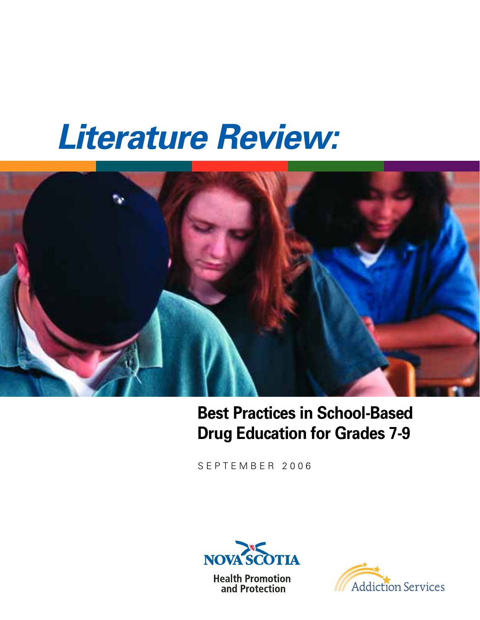# **Literature Review:**



### **Best Practices in School-Based Drug Education for Grades 7-9**

SEPTEMBER 2006



**Health Promotion** and Protection

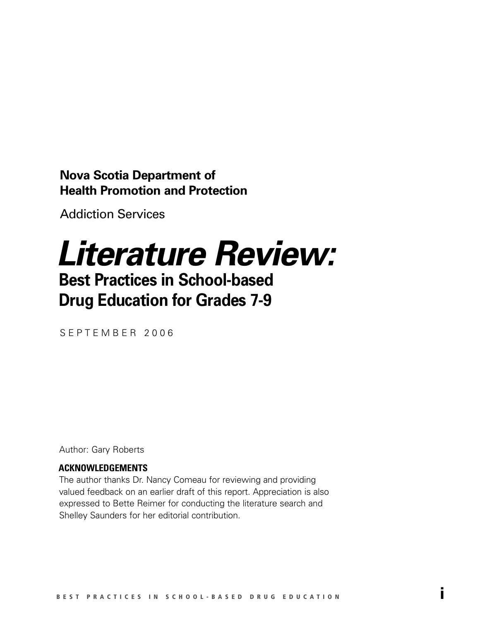### **Nova Scotia Department of Health Promotion and Protection**

Addiction Services

## **Literature Review: Best Practices in School-based Drug Education for Grades 7-9**

SEPTEMBER 2006

Author: Gary Roberts

#### **ACKNOWLEDGEMENTS**

The author thanks Dr. Nancy Comeau for reviewing and providing valued feedback on an earlier draft of this report. Appreciation is also expressed to Bette Reimer for conducting the literature search and Shelley Saunders for her editorial contribution.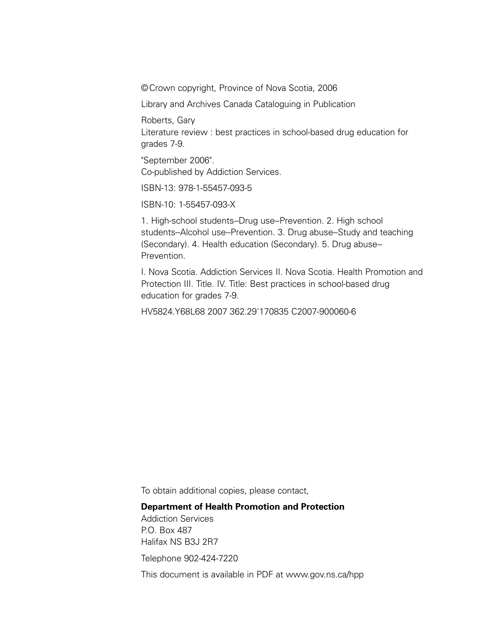©Crown copyright, Province of Nova Scotia, 2006

Library and Archives Canada Cataloguing in Publication

Roberts, Gary Literature review : best practices in school-based drug education for grades 7-9.

"September 2006". Co-published by Addiction Services.

ISBN-13: 978-1-55457-093-5

ISBN-10: 1-55457-093-X

1. High-school students--Drug use--Prevention. 2. High school students--Alcohol use--Prevention. 3. Drug abuse--Study and teaching (Secondary). 4. Health education (Secondary). 5. Drug abuse-- Prevention.

I. Nova Scotia. Addiction Services II. Nova Scotia. Health Promotion and Protection III. Title. IV. Title: Best practices in school-based drug education for grades 7-9.

HV5824.Y68L68 2007 362.29'170835 C2007-900060-6

To obtain additional copies, please contact,

**Department of Health Promotion and Protection**

Addiction Services P.O. Box 487 Halifax NS B3J 2R7

Telephone 902-424-7220

This document is available in PDF at www.gov.ns.ca/hpp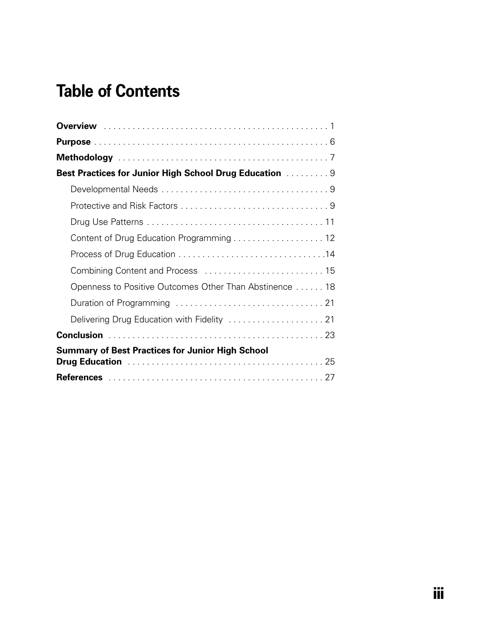### **Table of Contents**

| <b>Best Practices for Junior High School Drug Education Adminition State</b> |
|------------------------------------------------------------------------------|
|                                                                              |
|                                                                              |
|                                                                              |
| Content of Drug Education Programming 12                                     |
|                                                                              |
|                                                                              |
| Openness to Positive Outcomes Other Than Abstinence 18                       |
|                                                                              |
|                                                                              |
|                                                                              |
| <b>Summary of Best Practices for Junior High School</b>                      |
|                                                                              |
|                                                                              |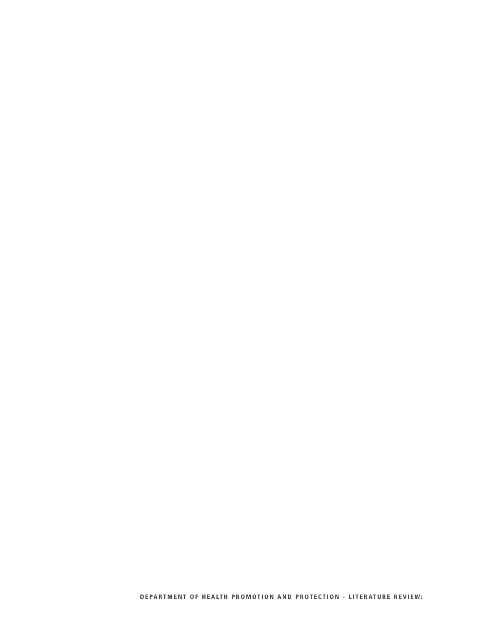**DEPARTMENT OF HEALTH PROMOTION AND PROTECTION - LITERATURE REVIEW:**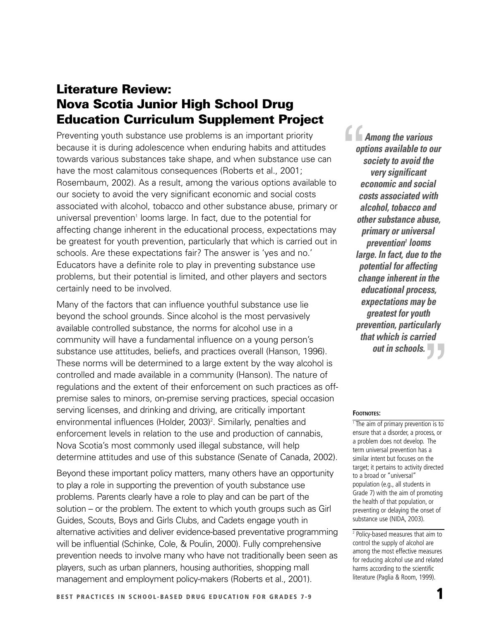#### <span id="page-5-0"></span>**Literature Review: Nova Scotia Junior High School Drug Education Curriculum Supplement Project**

Preventing youth substance use problems is an important priority because it is during adolescence when enduring habits and attitudes towards various substances take shape, and when substance use can have the most calamitous consequences (Roberts et al., 2001; Rosembaum, 2002). As a result, among the various options available to our society to avoid the very significant economic and social costs associated with alcohol, tobacco and other substance abuse, primary or universal prevention<sup>1</sup> looms large. In fact, due to the potential for affecting change inherent in the educational process, expectations may be greatest for youth prevention, particularly that which is carried out in schools. Are these expectations fair? The answer is 'yes and no.' Educators have a definite role to play in preventing substance use problems, but their potential is limited, and other players and sectors certainly need to be involved.

Many of the factors that can influence youthful substance use lie beyond the school grounds. Since alcohol is the most pervasively available controlled substance, the norms for alcohol use in a community will have a fundamental influence on a young person's substance use attitudes, beliefs, and practices overall (Hanson, 1996). These norms will be determined to a large extent by the way alcohol is controlled and made available in a community (Hanson). The nature of regulations and the extent of their enforcement on such practices as offpremise sales to minors, on-premise serving practices, special occasion serving licenses, and drinking and driving, are critically important environmental influences (Holder, 2003)<sup>2</sup>. Similarly, penalties and enforcement levels in relation to the use and production of cannabis, Nova Scotia's most commonly used illegal substance, will help determine attitudes and use of this substance (Senate of Canada, 2002).

Beyond these important policy matters, many others have an opportunity to play a role in supporting the prevention of youth substance use problems. Parents clearly have a role to play and can be part of the solution – or the problem. The extent to which youth groups such as Girl Guides, Scouts, Boys and Girls Clubs, and Cadets engage youth in alternative activities and deliver evidence-based preventative programming will be influential (Schinke, Cole, & Poulin, 2000). Fully comprehensive prevention needs to involve many who have not traditionally been seen as players, such as urban planners, housing authorities, shopping mall management and employment policy-makers (Roberts et al., 2001).

**Among the various options available to our society to avoid the very significant economic and social costs associated with alcohol, tobacco and other substance abuse, primary or universal prevention<sup>1</sup> looms large. In fact, due to the potential for affecting change inherent in the educational process, expectations may be greatest for youth prevention, particularly that which is carried out in schools.** " "

#### **FOOTNOTES:**

 $1$ <sup>1</sup> The aim of primary prevention is to ensure that a disorder, a process, or a problem does not develop. The term universal prevention has a similar intent but focuses on the target; it pertains to activity directed to a broad or "universal" population (e.g., all students in Grade 7) with the aim of promoting the health of that population, or preventing or delaying the onset of substance use (NIDA, 2003).

 $2$  Policy-based measures that aim to control the supply of alcohol are among the most effective measures for reducing alcohol use and related harms according to the scientific literature (Paglia & Room, 1999).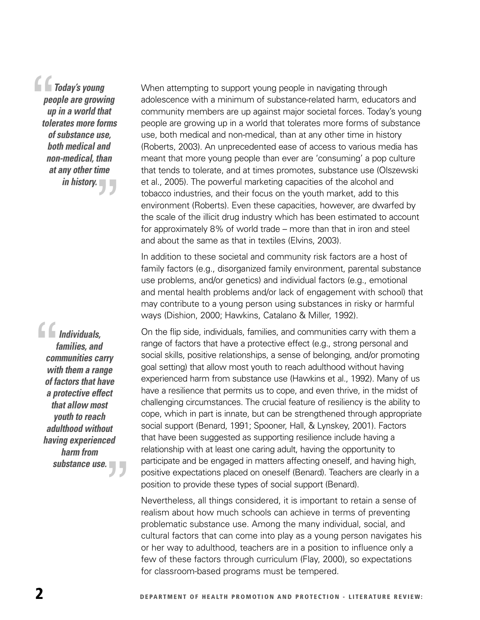**Today's young people are growing up in a world that tolerates more forms of substance use, both medical and non-medical, than at any other time in history.** " "

**Individuals, families, and communities carry with them a range of factors that have a protective effect that allow most youth to reach adulthood without having experienced harm from substance use.**  $\begin{array}{c} \begin{array}{c} \begin{array}{c} \begin{array}{c} \begin{array}{c} \end{array} \\ \begin{array}{c} \end{array} \\ \begin{array}{c} \end{array} \\ \begin{array}{c} \end{array} \\ \begin{array}{c} \end{array} \\ \begin{array}{c} \end{array} \\ \begin{array}{c} \end{array} \\ \end{array} \end{array} \end{array}$ "<br>"<br>" When attempting to support young people in navigating through adolescence with a minimum of substance-related harm, educators and community members are up against major societal forces. Today's young people are growing up in a world that tolerates more forms of substance use, both medical and non-medical, than at any other time in history (Roberts, 2003). An unprecedented ease of access to various media has meant that more young people than ever are 'consuming' a pop culture that tends to tolerate, and at times promotes, substance use (Olszewski et al., 2005). The powerful marketing capacities of the alcohol and tobacco industries, and their focus on the youth market, add to this environment (Roberts). Even these capacities, however, are dwarfed by the scale of the illicit drug industry which has been estimated to account for approximately 8% of world trade – more than that in iron and steel and about the same as that in textiles (Elvins, 2003).

In addition to these societal and community risk factors are a host of family factors (e.g., disorganized family environment, parental substance use problems, and/or genetics) and individual factors (e.g., emotional and mental health problems and/or lack of engagement with school) that may contribute to a young person using substances in risky or harmful ways (Dishion, 2000; Hawkins, Catalano & Miller, 1992).

On the flip side, individuals, families, and communities carry with them a range of factors that have a protective effect (e.g., strong personal and social skills, positive relationships, a sense of belonging, and/or promoting goal setting) that allow most youth to reach adulthood without having experienced harm from substance use (Hawkins et al., 1992). Many of us have a resilience that permits us to cope, and even thrive, in the midst of challenging circumstances. The crucial feature of resiliency is the ability to cope, which in part is innate, but can be strengthened through appropriate social support (Benard, 1991; Spooner, Hall, & Lynskey, 2001). Factors that have been suggested as supporting resilience include having a relationship with at least one caring adult, having the opportunity to participate and be engaged in matters affecting oneself, and having high, positive expectations placed on oneself (Benard). Teachers are clearly in a position to provide these types of social support (Benard).

Nevertheless, all things considered, it is important to retain a sense of realism about how much schools can achieve in terms of preventing problematic substance use. Among the many individual, social, and cultural factors that can come into play as a young person navigates his or her way to adulthood, teachers are in a position to influence only a few of these factors through curriculum (Flay, 2000), so expectations for classroom-based programs must be tempered.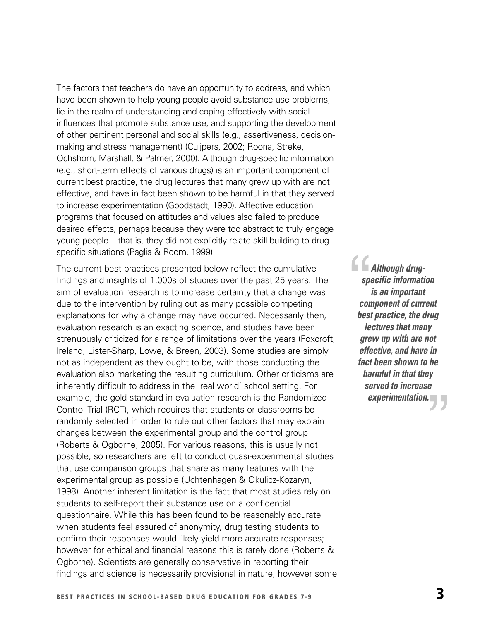The factors that teachers do have an opportunity to address, and which have been shown to help young people avoid substance use problems, lie in the realm of understanding and coping effectively with social influences that promote substance use, and supporting the development of other pertinent personal and social skills (e.g., assertiveness, decisionmaking and stress management) (Cuijpers, 2002; Roona, Streke, Ochshorn, Marshall, & Palmer, 2000). Although drug-specific information (e.g., short-term effects of various drugs) is an important component of current best practice, the drug lectures that many grew up with are not effective, and have in fact been shown to be harmful in that they served to increase experimentation (Goodstadt, 1990). Affective education programs that focused on attitudes and values also failed to produce desired effects, perhaps because they were too abstract to truly engage young people – that is, they did not explicitly relate skill-building to drugspecific situations (Paglia & Room, 1999).

The current best practices presented below reflect the cumulative findings and insights of 1,000s of studies over the past 25 years. The aim of evaluation research is to increase certainty that a change was due to the intervention by ruling out as many possible competing explanations for why a change may have occurred. Necessarily then, evaluation research is an exacting science, and studies have been strenuously criticized for a range of limitations over the years (Foxcroft, Ireland, Lister-Sharp, Lowe, & Breen, 2003). Some studies are simply not as independent as they ought to be, with those conducting the evaluation also marketing the resulting curriculum. Other criticisms are inherently difficult to address in the 'real world' school setting. For example, the gold standard in evaluation research is the Randomized Control Trial (RCT), which requires that students or classrooms be randomly selected in order to rule out other factors that may explain changes between the experimental group and the control group (Roberts & Ogborne, 2005). For various reasons, this is usually not possible, so researchers are left to conduct quasi-experimental studies that use comparison groups that share as many features with the experimental group as possible (Uchtenhagen & Okulicz-Kozaryn, 1998). Another inherent limitation is the fact that most studies rely on students to self-report their substance use on a confidential questionnaire. While this has been found to be reasonably accurate when students feel assured of anonymity, drug testing students to confirm their responses would likely yield more accurate responses; however for ethical and financial reasons this is rarely done (Roberts & Ogborne). Scientists are generally conservative in reporting their findings and science is necessarily provisional in nature, however some

**Although drugspecific information is an important component of current best practice, the drug lectures that many grew up with are not effective, and have in fact been shown to be harmful in that they served to increase experimentation.**  $\frac{1}{\sqrt{2}}$   $\frac{1}{\sqrt{2}}$   $\frac{1}{\sqrt{2}}$   $\frac{1}{\sqrt{2}}$   $\frac{1}{\sqrt{2}}$   $\frac{1}{\sqrt{2}}$   $\frac{1}{\sqrt{2}}$   $\frac{1}{\sqrt{2}}$   $\frac{1}{\sqrt{2}}$   $\frac{1}{\sqrt{2}}$   $\frac{1}{\sqrt{2}}$   $\frac{1}{\sqrt{2}}$   $\frac{1}{\sqrt{2}}$   $\frac{1}{\sqrt{2}}$   $\frac{1}{\sqrt{2}}$   $\frac{1}{\sqrt{2}}$   $\frac{1}{\sqrt{2}}$  "<br>"<br>"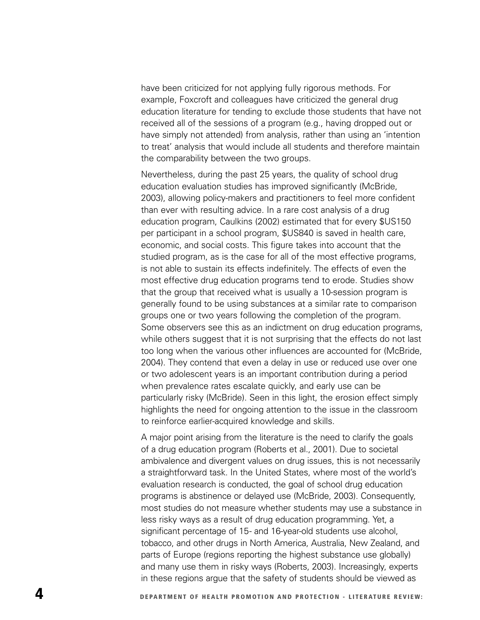have been criticized for not applying fully rigorous methods. For example, Foxcroft and colleagues have criticized the general drug education literature for tending to exclude those students that have not received all of the sessions of a program (e.g., having dropped out or have simply not attended) from analysis, rather than using an 'intention to treat' analysis that would include all students and therefore maintain the comparability between the two groups.

Nevertheless, during the past 25 years, the quality of school drug education evaluation studies has improved significantly (McBride, 2003), allowing policy-makers and practitioners to feel more confident than ever with resulting advice. In a rare cost analysis of a drug education program, Caulkins (2002) estimated that for every \$US150 per participant in a school program, \$US840 is saved in health care, economic, and social costs. This figure takes into account that the studied program, as is the case for all of the most effective programs, is not able to sustain its effects indefinitely. The effects of even the most effective drug education programs tend to erode. Studies show that the group that received what is usually a 10-session program is generally found to be using substances at a similar rate to comparison groups one or two years following the completion of the program. Some observers see this as an indictment on drug education programs, while others suggest that it is not surprising that the effects do not last too long when the various other influences are accounted for (McBride, 2004). They contend that even a delay in use or reduced use over one or two adolescent years is an important contribution during a period when prevalence rates escalate quickly, and early use can be particularly risky (McBride). Seen in this light, the erosion effect simply highlights the need for ongoing attention to the issue in the classroom to reinforce earlier-acquired knowledge and skills.

A major point arising from the literature is the need to clarify the goals of a drug education program (Roberts et al., 2001). Due to societal ambivalence and divergent values on drug issues, this is not necessarily a straightforward task. In the United States, where most of the world's evaluation research is conducted, the goal of school drug education programs is abstinence or delayed use (McBride, 2003). Consequently, most studies do not measure whether students may use a substance in less risky ways as a result of drug education programming. Yet, a significant percentage of 15- and 16-year-old students use alcohol, tobacco, and other drugs in North America, Australia, New Zealand, and parts of Europe (regions reporting the highest substance use globally) and many use them in risky ways (Roberts, 2003). Increasingly, experts in these regions argue that the safety of students should be viewed as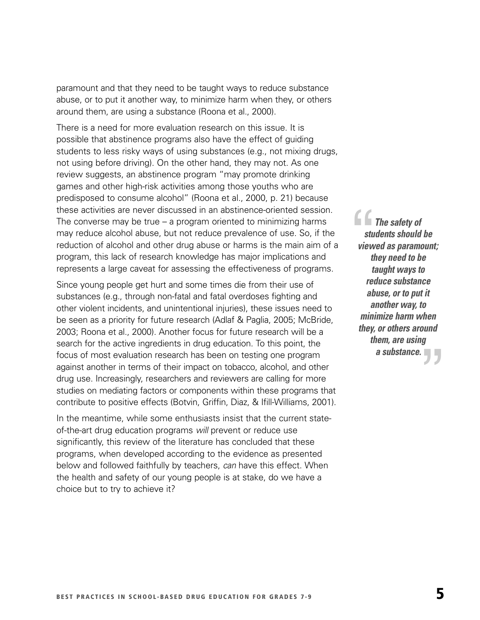paramount and that they need to be taught ways to reduce substance abuse, or to put it another way, to minimize harm when they, or others around them, are using a substance (Roona et al., 2000).

There is a need for more evaluation research on this issue. It is possible that abstinence programs also have the effect of guiding students to less risky ways of using substances (e.g., not mixing drugs, not using before driving). On the other hand, they may not. As one review suggests, an abstinence program "may promote drinking games and other high-risk activities among those youths who are predisposed to consume alcohol" (Roona et al., 2000, p. 21) because these activities are never discussed in an abstinence-oriented session. The converse may be true – a program oriented to minimizing harms may reduce alcohol abuse, but not reduce prevalence of use. So, if the reduction of alcohol and other drug abuse or harms is the main aim of a program, this lack of research knowledge has major implications and represents a large caveat for assessing the effectiveness of programs.

Since young people get hurt and some times die from their use of substances (e.g., through non-fatal and fatal overdoses fighting and other violent incidents, and unintentional injuries), these issues need to be seen as a priority for future research (Adlaf & Paglia, 2005; McBride, 2003; Roona et al., 2000). Another focus for future research will be a search for the active ingredients in drug education. To this point, the focus of most evaluation research has been on testing one program against another in terms of their impact on tobacco, alcohol, and other drug use. Increasingly, researchers and reviewers are calling for more studies on mediating factors or components within these programs that contribute to positive effects (Botvin, Griffin, Diaz, & Ifill-Williams, 2001).

In the meantime, while some enthusiasts insist that the current stateof-the-art drug education programs will prevent or reduce use significantly, this review of the literature has concluded that these programs, when developed according to the evidence as presented below and followed faithfully by teachers, can have this effect. When the health and safety of our young people is at stake, do we have a choice but to try to achieve it?

**The safety of students should be viewed as paramount; they need to be taught ways to reduce substance abuse, or to put it another way, to minimize harm when they, or others around them, are using a substance.**  $\begin{array}{c} \begin{array}{c} \begin{array}{c} \begin{array}{c} \text{1} \\ \text{2} \end{array} \\ \text{2} \\ \text{2} \\ \text{2} \\ \text{2} \\ \text{2} \end{array} \end{array} \end{array}$ "<br>"<br>"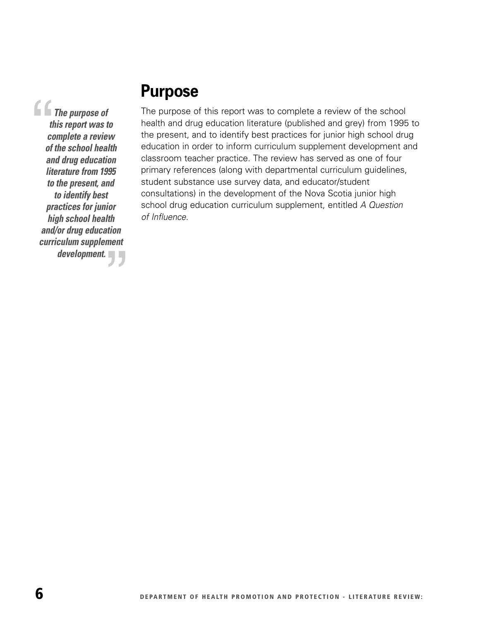### **Purpose**

<span id="page-10-0"></span>**The purpose of this report was to complete a review of the school health and drug education literature from 1995 to the present, and to identify best practices for junior high school health and/or drug education curriculum supplement development.**  $\begin{array}{c} \begin{array}{c} \begin{array}{c} \begin{array}{c} \begin{array}{c} \end{array} \\ \begin{array}{c} \end{array} \\ \begin{array}{c} \end{array} \\ \begin{array}{c} \end{array} \\ \begin{array}{c} \end{array} \\ \begin{array}{c} \end{array} \\ \begin{array}{c} \end{array} \end{array} \end{array}$ "<br>"<br>"

The purpose of this report was to complete a review of the school health and drug education literature (published and grey) from 1995 to the present, and to identify best practices for junior high school drug education in order to inform curriculum supplement development and classroom teacher practice. The review has served as one of four primary references (along with departmental curriculum guidelines, student substance use survey data, and educator/student consultations) in the development of the Nova Scotia junior high school drug education curriculum supplement, entitled A Question of Influence.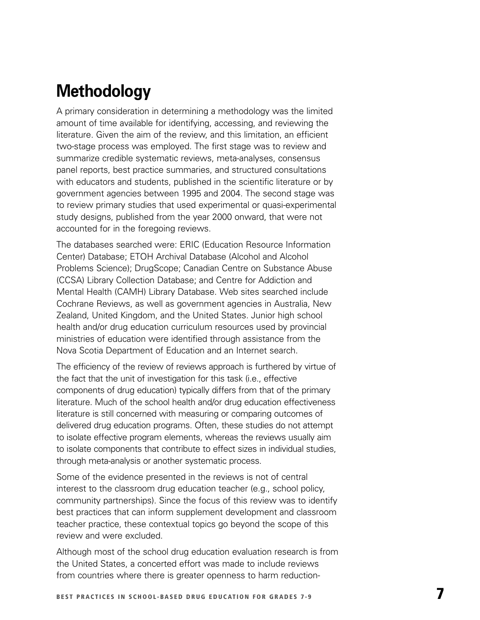### <span id="page-11-0"></span>**Methodology**

A primary consideration in determining a methodology was the limited amount of time available for identifying, accessing, and reviewing the literature. Given the aim of the review, and this limitation, an efficient two-stage process was employed. The first stage was to review and summarize credible systematic reviews, meta-analyses, consensus panel reports, best practice summaries, and structured consultations with educators and students, published in the scientific literature or by government agencies between 1995 and 2004. The second stage was to review primary studies that used experimental or quasi-experimental study designs, published from the year 2000 onward, that were not accounted for in the foregoing reviews.

The databases searched were: ERIC (Education Resource Information Center) Database; ETOH Archival Database (Alcohol and Alcohol Problems Science); DrugScope; Canadian Centre on Substance Abuse (CCSA) Library Collection Database; and Centre for Addiction and Mental Health (CAMH) Library Database. Web sites searched include Cochrane Reviews, as well as government agencies in Australia, New Zealand, United Kingdom, and the United States. Junior high school health and/or drug education curriculum resources used by provincial ministries of education were identified through assistance from the Nova Scotia Department of Education and an Internet search.

The efficiency of the review of reviews approach is furthered by virtue of the fact that the unit of investigation for this task (i.e., effective components of drug education) typically differs from that of the primary literature. Much of the school health and/or drug education effectiveness literature is still concerned with measuring or comparing outcomes of delivered drug education programs. Often, these studies do not attempt to isolate effective program elements, whereas the reviews usually aim to isolate components that contribute to effect sizes in individual studies, through meta-analysis or another systematic process.

Some of the evidence presented in the reviews is not of central interest to the classroom drug education teacher (e.g., school policy, community partnerships). Since the focus of this review was to identify best practices that can inform supplement development and classroom teacher practice, these contextual topics go beyond the scope of this review and were excluded.

Although most of the school drug education evaluation research is from the United States, a concerted effort was made to include reviews from countries where there is greater openness to harm reduction-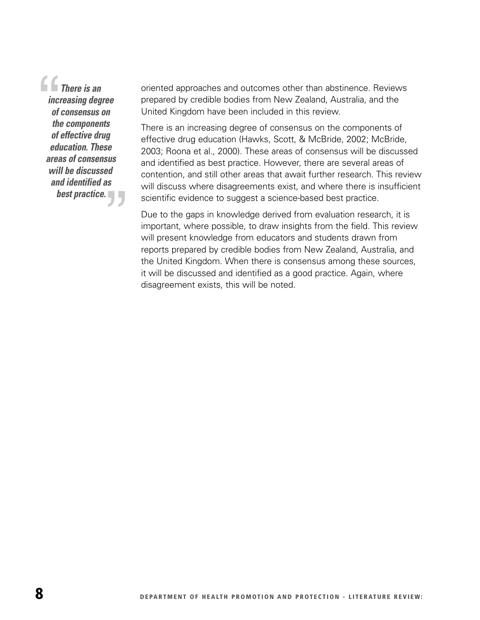**There is an increasing degree of consensus on the components of effective drug education. These areas of consensus will be discussed and identified as best practice.**  $\begin{array}{c}\n\begin{array}{ccc}\n\bullet & \bullet \\
\text{inc} & \text{of} \\
\text{th} & \text{of} \\
\end{array}\n\end{array}$ "<br>"<br>"

oriented approaches and outcomes other than abstinence. Reviews prepared by credible bodies from New Zealand, Australia, and the United Kingdom have been included in this review.

There is an increasing degree of consensus on the components of effective drug education (Hawks, Scott, & McBride, 2002; McBride, 2003; Roona et al., 2000). These areas of consensus will be discussed and identified as best practice. However, there are several areas of contention, and still other areas that await further research. This review will discuss where disagreements exist, and where there is insufficient scientific evidence to suggest a science-based best practice.

Due to the gaps in knowledge derived from evaluation research, it is important, where possible, to draw insights from the field. This review will present knowledge from educators and students drawn from reports prepared by credible bodies from New Zealand, Australia, and the United Kingdom. When there is consensus among these sources, it will be discussed and identified as a good practice. Again, where disagreement exists, this will be noted.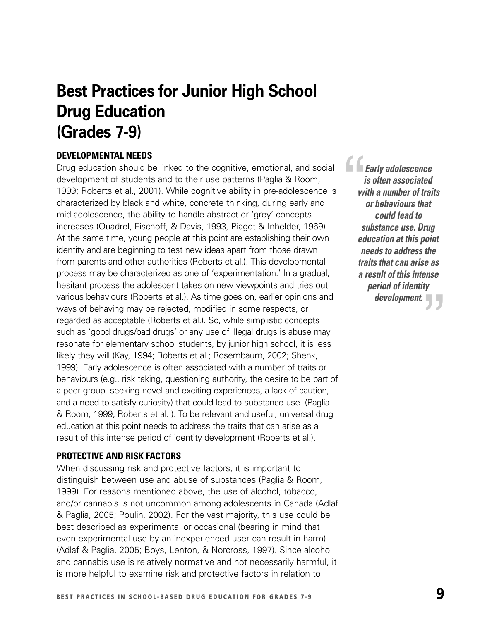### <span id="page-13-0"></span>**Best Practices for Junior High School Drug Education (Grades 7-9)**

#### **DEVELOPMENTAL NEEDS**

Drug education should be linked to the cognitive, emotional, and social development of students and to their use patterns (Paglia & Room, 1999; Roberts et al., 2001). While cognitive ability in pre-adolescence is characterized by black and white, concrete thinking, during early and mid-adolescence, the ability to handle abstract or 'grey' concepts increases (Quadrel, Fischoff, & Davis, 1993, Piaget & Inhelder, 1969). At the same time, young people at this point are establishing their own identity and are beginning to test new ideas apart from those drawn from parents and other authorities (Roberts et al.). This developmental process may be characterized as one of 'experimentation.' In a gradual, hesitant process the adolescent takes on new viewpoints and tries out various behaviours (Roberts et al.). As time goes on, earlier opinions and ways of behaving may be rejected, modified in some respects, or regarded as acceptable (Roberts et al.). So, while simplistic concepts such as 'good drugs/bad drugs' or any use of illegal drugs is abuse may resonate for elementary school students, by junior high school, it is less likely they will (Kay, 1994; Roberts et al.; Rosembaum, 2002; Shenk, 1999). Early adolescence is often associated with a number of traits or behaviours (e.g., risk taking, questioning authority, the desire to be part of a peer group, seeking novel and exciting experiences, a lack of caution, and a need to satisfy curiosity) that could lead to substance use. (Paglia & Room, 1999; Roberts et al. ). To be relevant and useful, universal drug education at this point needs to address the traits that can arise as a result of this intense period of identity development (Roberts et al.).

#### **PROTECTIVE AND RISK FACTORS**

When discussing risk and protective factors, it is important to distinguish between use and abuse of substances (Paglia & Room, 1999). For reasons mentioned above, the use of alcohol, tobacco, and/or cannabis is not uncommon among adolescents in Canada (Adlaf & Paglia, 2005; Poulin, 2002). For the vast majority, this use could be best described as experimental or occasional (bearing in mind that even experimental use by an inexperienced user can result in harm) (Adlaf & Paglia, 2005; Boys, Lenton, & Norcross, 1997). Since alcohol and cannabis use is relatively normative and not necessarily harmful, it is more helpful to examine risk and protective factors in relation to

**Early adolescence is often associated with a number of traits or behaviours that could lead to substance use. Drug education at this point needs to address the traits that can arise as a result of this intense period of identity development.** " **"**<br>"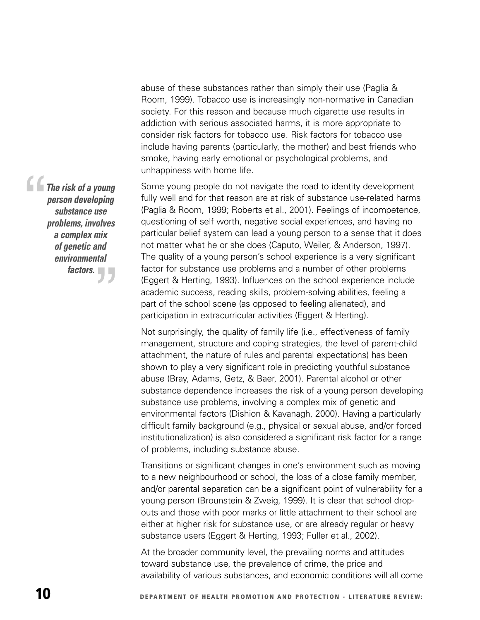abuse of these substances rather than simply their use (Paglia & Room, 1999). Tobacco use is increasingly non-normative in Canadian society. For this reason and because much cigarette use results in addiction with serious associated harms, it is more appropriate to consider risk factors for tobacco use. Risk factors for tobacco use include having parents (particularly, the mother) and best friends who smoke, having early emotional or psychological problems, and unhappiness with home life.

Some young people do not navigate the road to identity development fully well and for that reason are at risk of substance use-related harms (Paglia & Room, 1999; Roberts et al., 2001). Feelings of incompetence, questioning of self worth, negative social experiences, and having no particular belief system can lead a young person to a sense that it does not matter what he or she does (Caputo, Weiler, & Anderson, 1997). The quality of a young person's school experience is a very significant factor for substance use problems and a number of other problems (Eggert & Herting, 1993). Influences on the school experience include academic success, reading skills, problem-solving abilities, feeling a part of the school scene (as opposed to feeling alienated), and participation in extracurricular activities (Eggert & Herting).

Not surprisingly, the quality of family life (i.e., effectiveness of family management, structure and coping strategies, the level of parent-child attachment, the nature of rules and parental expectations) has been shown to play a very significant role in predicting youthful substance abuse (Bray, Adams, Getz, & Baer, 2001). Parental alcohol or other substance dependence increases the risk of a young person developing substance use problems, involving a complex mix of genetic and environmental factors (Dishion & Kavanagh, 2000). Having a particularly difficult family background (e.g., physical or sexual abuse, and/or forced institutionalization) is also considered a significant risk factor for a range of problems, including substance abuse.

Transitions or significant changes in one's environment such as moving to a new neighbourhood or school, the loss of a close family member, and/or parental separation can be a significant point of vulnerability for a young person (Brounstein & Zweig, 1999). It is clear that school dropouts and those with poor marks or little attachment to their school are either at higher risk for substance use, or are already regular or heavy substance users (Eggert & Herting, 1993; Fuller et al., 2002).

At the broader community level, the prevailing norms and attitudes toward substance use, the prevalence of crime, the price and availability of various substances, and economic conditions will all come

**The risk of a young person developing substance use problems, involves a complex mix of genetic and environmental factors.** " "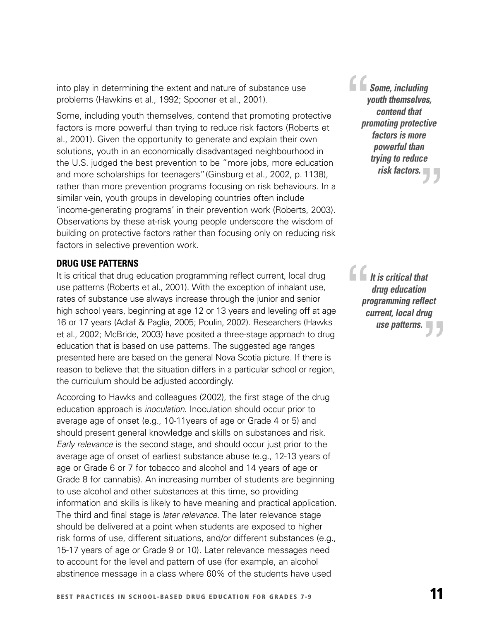<span id="page-15-0"></span>into play in determining the extent and nature of substance use problems (Hawkins et al., 1992; Spooner et al., 2001).

Some, including youth themselves, contend that promoting protective factors is more powerful than trying to reduce risk factors (Roberts et al., 2001). Given the opportunity to generate and explain their own solutions, youth in an economically disadvantaged neighbourhood in the U.S. judged the best prevention to be "more jobs, more education and more scholarships for teenagers"(Ginsburg et al., 2002, p. 1138), rather than more prevention programs focusing on risk behaviours. In a similar vein, youth groups in developing countries often include 'income-generating programs' in their prevention work (Roberts, 2003). Observations by these at-risk young people underscore the wisdom of building on protective factors rather than focusing only on reducing risk factors in selective prevention work.

#### **DRUG USE PATTERNS**

It is critical that drug education programming reflect current, local drug use patterns (Roberts et al., 2001). With the exception of inhalant use, rates of substance use always increase through the junior and senior high school years, beginning at age 12 or 13 years and leveling off at age 16 or 17 years (Adlaf & Paglia, 2005; Poulin, 2002). Researchers (Hawks et al., 2002; McBride, 2003) have posited a three-stage approach to drug education that is based on use patterns. The suggested age ranges presented here are based on the general Nova Scotia picture. If there is reason to believe that the situation differs in a particular school or region, the curriculum should be adjusted accordingly.

According to Hawks and colleagues (2002), the first stage of the drug education approach is inoculation. Inoculation should occur prior to average age of onset (e.g., 10-11years of age or Grade 4 or 5) and should present general knowledge and skills on substances and risk. Early relevance is the second stage, and should occur just prior to the average age of onset of earliest substance abuse (e.g., 12-13 years of age or Grade 6 or 7 for tobacco and alcohol and 14 years of age or Grade 8 for cannabis). An increasing number of students are beginning to use alcohol and other substances at this time, so providing information and skills is likely to have meaning and practical application. The third and final stage is later relevance. The later relevance stage should be delivered at a point when students are exposed to higher risk forms of use, different situations, and/or different substances (e.g., 15-17 years of age or Grade 9 or 10). Later relevance messages need to account for the level and pattern of use (for example, an alcohol abstinence message in a class where 60% of the students have used

**Some, including youth themselves, contend that promoting protective factors is more powerful than trying to reduce risk factors.**  $\frac{1}{2}$ "

**It is critical that drug education programming reflect current, local drug use patterns.** " )<br>)<br>|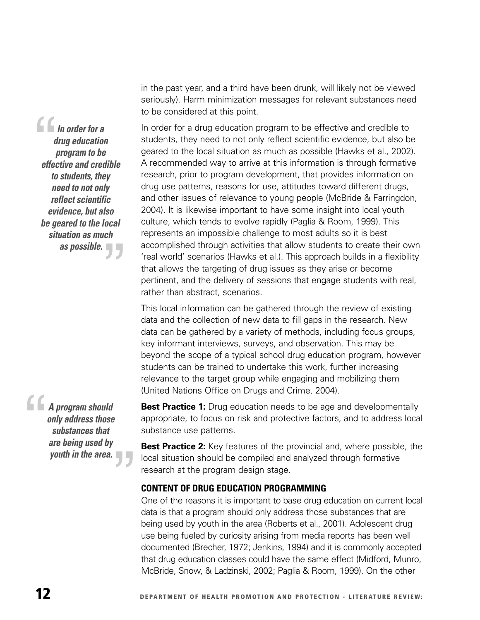in the past year, and a third have been drunk, will likely not be viewed seriously). Harm minimization messages for relevant substances need to be considered at this point.

In order for a drug education program to be effective and credible to students, they need to not only reflect scientific evidence, but also be geared to the local situation as much as possible (Hawks et al., 2002). A recommended way to arrive at this information is through formative research, prior to program development, that provides information on drug use patterns, reasons for use, attitudes toward different drugs, and other issues of relevance to young people (McBride & Farringdon, 2004). It is likewise important to have some insight into local youth culture, which tends to evolve rapidly (Paglia & Room, 1999). This represents an impossible challenge to most adults so it is best accomplished through activities that allow students to create their own 'real world' scenarios (Hawks et al.). This approach builds in a flexibility that allows the targeting of drug issues as they arise or become pertinent, and the delivery of sessions that engage students with real, rather than abstract, scenarios.

This local information can be gathered through the review of existing data and the collection of new data to fill gaps in the research. New data can be gathered by a variety of methods, including focus groups, key informant interviews, surveys, and observation. This may be beyond the scope of a typical school drug education program, however students can be trained to undertake this work, further increasing relevance to the target group while engaging and mobilizing them (United Nations Office on Drugs and Crime, 2004).

**Best Practice 1:** Drug education needs to be age and developmentally appropriate, to focus on risk and protective factors, and to address local substance use patterns.

**Best Practice 2:** Key features of the provincial and, where possible, the local situation should be compiled and analyzed through formative research at the program design stage.

#### **CONTENT OF DRUG EDUCATION PROGRAMMING**

One of the reasons it is important to base drug education on current local data is that a program should only address those substances that are being used by youth in the area (Roberts et al., 2001). Adolescent drug use being fueled by curiosity arising from media reports has been well documented (Brecher, 1972; Jenkins, 1994) and it is commonly accepted that drug education classes could have the same effect (Midford, Munro, McBride, Snow, & Ladzinski, 2002; Paglia & Room, 1999). On the other

<span id="page-16-0"></span>**In order for a drug education program to be effective and credible to students, they need to not only reflect scientific evidence, but also be geared to the local situation as much as possible.**  $\begin{bmatrix} 1 \\ 2 \\ 3 \\ 4 \end{bmatrix}$ "<br>"<br>"

**A program should only address those substances that are being used by youth in the area.** " ,<br>,<br>,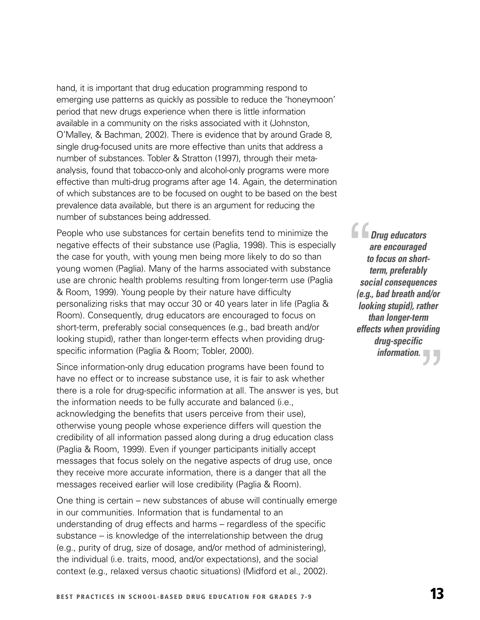hand, it is important that drug education programming respond to emerging use patterns as quickly as possible to reduce the 'honeymoon' period that new drugs experience when there is little information available in a community on the risks associated with it (Johnston, O'Malley, & Bachman, 2002). There is evidence that by around Grade 8, single drug-focused units are more effective than units that address a number of substances. Tobler & Stratton (1997), through their metaanalysis, found that tobacco-only and alcohol-only programs were more effective than multi-drug programs after age 14. Again, the determination of which substances are to be focused on ought to be based on the best prevalence data available, but there is an argument for reducing the number of substances being addressed.

People who use substances for certain benefits tend to minimize the negative effects of their substance use (Paglia, 1998). This is especially the case for youth, with young men being more likely to do so than young women (Paglia). Many of the harms associated with substance use are chronic health problems resulting from longer-term use (Paglia & Room, 1999). Young people by their nature have difficulty personalizing risks that may occur 30 or 40 years later in life (Paglia & Room). Consequently, drug educators are encouraged to focus on short-term, preferably social consequences (e.g., bad breath and/or looking stupid), rather than longer-term effects when providing drugspecific information (Paglia & Room; Tobler, 2000).

Since information-only drug education programs have been found to have no effect or to increase substance use, it is fair to ask whether there is a role for drug-specific information at all. The answer is yes, but the information needs to be fully accurate and balanced (i.e., acknowledging the benefits that users perceive from their use), otherwise young people whose experience differs will question the credibility of all information passed along during a drug education class (Paglia & Room, 1999). Even if younger participants initially accept messages that focus solely on the negative aspects of drug use, once they receive more accurate information, there is a danger that all the messages received earlier will lose credibility (Paglia & Room).

One thing is certain – new substances of abuse will continually emerge in our communities. Information that is fundamental to an understanding of drug effects and harms – regardless of the specific substance – is knowledge of the interrelationship between the drug (e.g., purity of drug, size of dosage, and/or method of administering), the individual (i.e. traits, mood, and/or expectations), and the social context (e.g., relaxed versus chaotic situations) (Midford et al., 2002).

**Drug educators are encouraged to focus on shortterm, preferably social consequences (e.g., bad breath and/or looking stupid), rather than longer-term effects when providing drug-specific information.** " "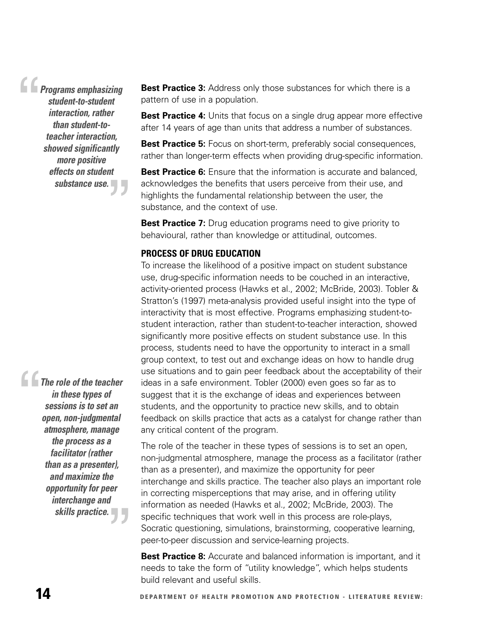<span id="page-18-0"></span>"

**Programs emphasizing student-to-student interaction, rather than student-toteacher interaction, showed significantly more positive effects on student substance use.** "

**The role of the teacher in these types of sessions is to set an open, non-judgmental atmosphere, manage the process as a facilitator (rather than as a presenter), and maximize the opportunity for peer interchange and skills practice.** " "<br>"<br>" **Best Practice 3:** Address only those substances for which there is a pattern of use in a population.

**Best Practice 4:** Units that focus on a single drug appear more effective after 14 years of age than units that address a number of substances.

**Best Practice 5:** Focus on short-term, preferably social consequences, rather than longer-term effects when providing drug-specific information.

**Best Practice 6:** Ensure that the information is accurate and balanced, acknowledges the benefits that users perceive from their use, and highlights the fundamental relationship between the user, the substance, and the context of use.

**Best Practice 7:** Drug education programs need to give priority to behavioural, rather than knowledge or attitudinal, outcomes.

#### **PROCESS OF DRUG EDUCATION**

To increase the likelihood of a positive impact on student substance use, drug-specific information needs to be couched in an interactive, activity-oriented process (Hawks et al., 2002; McBride, 2003). Tobler & Stratton's (1997) meta-analysis provided useful insight into the type of interactivity that is most effective. Programs emphasizing student-tostudent interaction, rather than student-to-teacher interaction, showed significantly more positive effects on student substance use. In this process, students need to have the opportunity to interact in a small group context, to test out and exchange ideas on how to handle drug use situations and to gain peer feedback about the acceptability of their ideas in a safe environment. Tobler (2000) even goes so far as to suggest that it is the exchange of ideas and experiences between students, and the opportunity to practice new skills, and to obtain feedback on skills practice that acts as a catalyst for change rather than any critical content of the program.

The role of the teacher in these types of sessions is to set an open, non-judgmental atmosphere, manage the process as a facilitator (rather than as a presenter), and maximize the opportunity for peer interchange and skills practice. The teacher also plays an important role in correcting misperceptions that may arise, and in offering utility information as needed (Hawks et al., 2002; McBride, 2003). The specific techniques that work well in this process are role-plays, Socratic questioning, simulations, brainstorming, cooperative learning, peer-to-peer discussion and service-learning projects.

**Best Practice 8:** Accurate and balanced information is important, and it needs to take the form of "utility knowledge", which helps students build relevant and useful skills.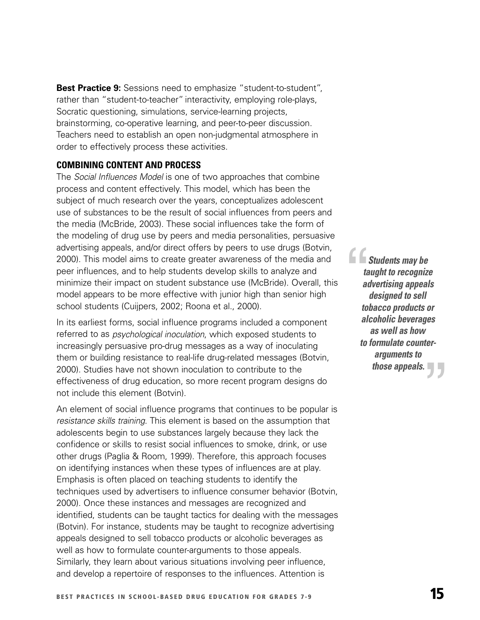<span id="page-19-0"></span>**Best Practice 9:** Sessions need to emphasize "student-to-student", rather than "student-to-teacher" interactivity, employing role-plays, Socratic questioning, simulations, service-learning projects, brainstorming, co-operative learning, and peer-to-peer discussion. Teachers need to establish an open non-judgmental atmosphere in order to effectively process these activities.

#### **COMBINING CONTENT AND PROCESS**

The Social Influences Model is one of two approaches that combine process and content effectively. This model, which has been the subject of much research over the years, conceptualizes adolescent use of substances to be the result of social influences from peers and the media (McBride, 2003). These social influences take the form of the modeling of drug use by peers and media personalities, persuasive advertising appeals, and/or direct offers by peers to use drugs (Botvin, 2000). This model aims to create greater awareness of the media and peer influences, and to help students develop skills to analyze and minimize their impact on student substance use (McBride). Overall, this model appears to be more effective with junior high than senior high school students (Cuijpers, 2002; Roona et al., 2000).

In its earliest forms, social influence programs included a component referred to as psychological inoculation, which exposed students to increasingly persuasive pro-drug messages as a way of inoculating them or building resistance to real-life drug-related messages (Botvin, 2000). Studies have not shown inoculation to contribute to the effectiveness of drug education, so more recent program designs do not include this element (Botvin).

An element of social influence programs that continues to be popular is resistance skills training. This element is based on the assumption that adolescents begin to use substances largely because they lack the confidence or skills to resist social influences to smoke, drink, or use other drugs (Paglia & Room, 1999). Therefore, this approach focuses on identifying instances when these types of influences are at play. Emphasis is often placed on teaching students to identify the techniques used by advertisers to influence consumer behavior (Botvin, 2000). Once these instances and messages are recognized and identified, students can be taught tactics for dealing with the messages (Botvin). For instance, students may be taught to recognize advertising appeals designed to sell tobacco products or alcoholic beverages as well as how to formulate counter-arguments to those appeals. Similarly, they learn about various situations involving peer influence, and develop a repertoire of responses to the influences. Attention is

**Students may be taught to recognize advertising appeals designed to sell tobacco products or alcoholic beverages as well as how to formulate counterarguments to those appeals.**  $\frac{1}{t}$ "<br>"<br>"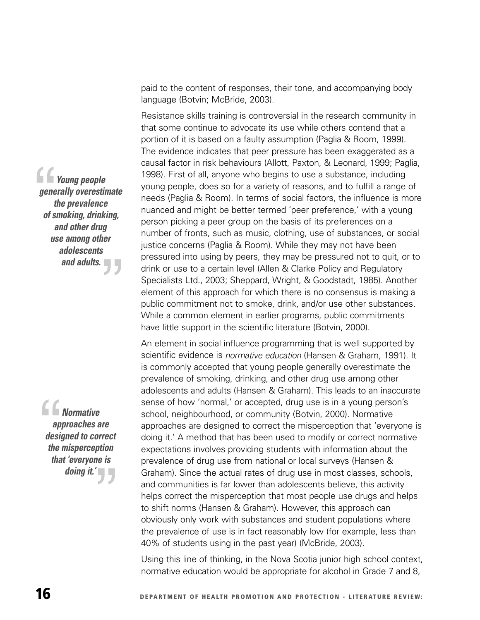paid to the content of responses, their tone, and accompanying body language (Botvin; McBride, 2003).

Resistance skills training is controversial in the research community in that some continue to advocate its use while others contend that a portion of it is based on a faulty assumption (Paglia & Room, 1999). The evidence indicates that peer pressure has been exaggerated as a causal factor in risk behaviours (Allott, Paxton, & Leonard, 1999; Paglia, 1998). First of all, anyone who begins to use a substance, including young people, does so for a variety of reasons, and to fulfill a range of needs (Paglia & Room). In terms of social factors, the influence is more nuanced and might be better termed 'peer preference,' with a young person picking a peer group on the basis of its preferences on a number of fronts, such as music, clothing, use of substances, or social justice concerns (Paglia & Room). While they may not have been pressured into using by peers, they may be pressured not to quit, or to drink or use to a certain level (Allen & Clarke Policy and Regulatory Specialists Ltd., 2003; Sheppard, Wright, & Goodstadt, 1985). Another element of this approach for which there is no consensus is making a public commitment not to smoke, drink, and/or use other substances. While a common element in earlier programs, public commitments have little support in the scientific literature (Botvin, 2000).

An element in social influence programming that is well supported by scientific evidence is *normative education* (Hansen & Graham, 1991). It is commonly accepted that young people generally overestimate the prevalence of smoking, drinking, and other drug use among other adolescents and adults (Hansen & Graham). This leads to an inaccurate sense of how 'normal,' or accepted, drug use is in a young person's school, neighbourhood, or community (Botvin, 2000). Normative approaches are designed to correct the misperception that 'everyone is doing it.' A method that has been used to modify or correct normative expectations involves providing students with information about the prevalence of drug use from national or local surveys (Hansen & Graham). Since the actual rates of drug use in most classes, schools, and communities is far lower than adolescents believe, this activity helps correct the misperception that most people use drugs and helps to shift norms (Hansen & Graham). However, this approach can obviously only work with substances and student populations where the prevalence of use is in fact reasonably low (for example, less than 40% of students using in the past year) (McBride, 2003).

Using this line of thinking, in the Nova Scotia junior high school context, normative education would be appropriate for alcohol in Grade 7 and 8,

**Young people generally overestimate the prevalence of smoking, drinking, and other drug use among other adolescents and adults.**   $\begin{array}{c} \begin{array}{c} \text{6} \\ \text{gene} \end{array} \\ \text{of} \end{array}$ "<br>"<br>"

**Normative approaches are designed to correct the misperception that 'everyone is doing it.'**  $\begin{array}{c} \begin{array}{c} \text{6} \\ \text{ap} \\ \text{desi} \\ \text{the} \end{array} \end{array}$ "<br>"<br>"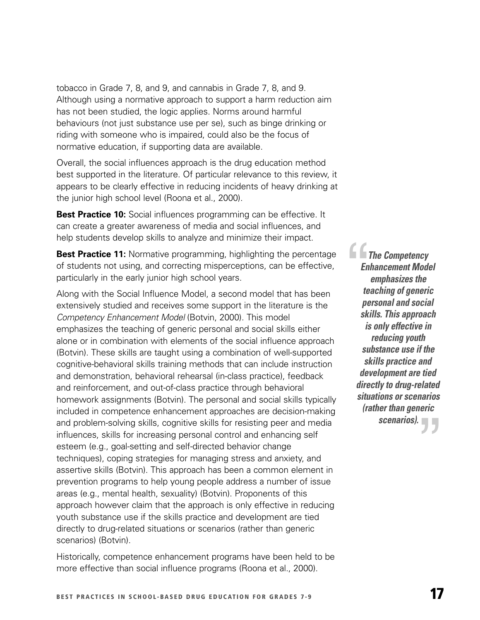tobacco in Grade 7, 8, and 9, and cannabis in Grade 7, 8, and 9. Although using a normative approach to support a harm reduction aim has not been studied, the logic applies. Norms around harmful behaviours (not just substance use per se), such as binge drinking or riding with someone who is impaired, could also be the focus of normative education, if supporting data are available.

Overall, the social influences approach is the drug education method best supported in the literature. Of particular relevance to this review, it appears to be clearly effective in reducing incidents of heavy drinking at the junior high school level (Roona et al., 2000).

**Best Practice 10:** Social influences programming can be effective. It can create a greater awareness of media and social influences, and help students develop skills to analyze and minimize their impact.

**Best Practice 11:** Normative programming, highlighting the percentage of students not using, and correcting misperceptions, can be effective, particularly in the early junior high school years.

Along with the Social Influence Model, a second model that has been extensively studied and receives some support in the literature is the Competency Enhancement Model (Botvin, 2000). This model emphasizes the teaching of generic personal and social skills either alone or in combination with elements of the social influence approach (Botvin). These skills are taught using a combination of well-supported cognitive-behavioral skills training methods that can include instruction and demonstration, behavioral rehearsal (in-class practice), feedback and reinforcement, and out-of-class practice through behavioral homework assignments (Botvin). The personal and social skills typically included in competence enhancement approaches are decision-making and problem-solving skills, cognitive skills for resisting peer and media influences, skills for increasing personal control and enhancing self esteem (e.g., goal-setting and self-directed behavior change techniques), coping strategies for managing stress and anxiety, and assertive skills (Botvin). This approach has been a common element in prevention programs to help young people address a number of issue areas (e.g., mental health, sexuality) (Botvin). Proponents of this approach however claim that the approach is only effective in reducing youth substance use if the skills practice and development are tied directly to drug-related situations or scenarios (rather than generic scenarios) (Botvin).

Historically, competence enhancement programs have been held to be more effective than social influence programs (Roona et al., 2000).

**The Competency Enhancement Model emphasizes the teaching of generic personal and social skills. This approach is only effective in reducing youth substance use if the skills practice and development are tied directly to drug-related situations or scenarios (rather than generic scenarios).** |<br>|<br>|<br>|<br>|<br>|<br>| "<br>"<br>"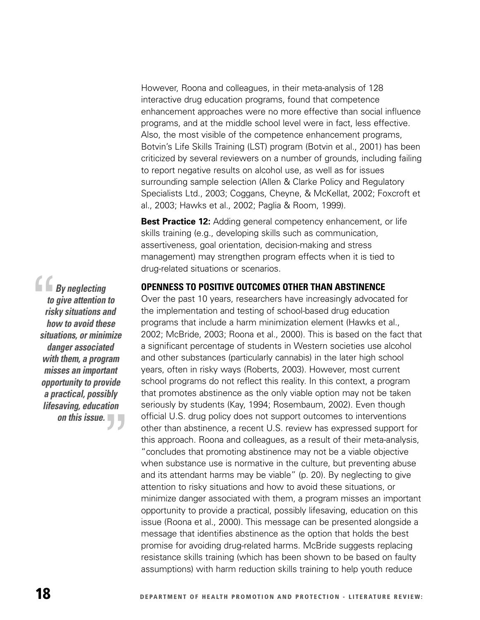<span id="page-22-0"></span>However, Roona and colleagues, in their meta-analysis of 128 interactive drug education programs, found that competence enhancement approaches were no more effective than social influence programs, and at the middle school level were in fact, less effective. Also, the most visible of the competence enhancement programs, Botvin's Life Skills Training (LST) program (Botvin et al., 2001) has been criticized by several reviewers on a number of grounds, including failing to report negative results on alcohol use, as well as for issues surrounding sample selection (Allen & Clarke Policy and Regulatory Specialists Ltd., 2003; Coggans, Cheyne, & McKellat, 2002; Foxcroft et al., 2003; Hawks et al., 2002; Paglia & Room, 1999).

**Best Practice 12:** Adding general competency enhancement, or life skills training (e.g., developing skills such as communication, assertiveness, goal orientation, decision-making and stress management) may strengthen program effects when it is tied to drug-related situations or scenarios.

#### **OPENNESS TO POSITIVE OUTCOMES OTHER THAN ABSTINENCE**

Over the past 10 years, researchers have increasingly advocated for the implementation and testing of school-based drug education programs that include a harm minimization element (Hawks et al., 2002; McBride, 2003; Roona et al., 2000). This is based on the fact that a significant percentage of students in Western societies use alcohol and other substances (particularly cannabis) in the later high school years, often in risky ways (Roberts, 2003). However, most current school programs do not reflect this reality. In this context, a program that promotes abstinence as the only viable option may not be taken seriously by students (Kay, 1994; Rosembaum, 2002). Even though official U.S. drug policy does not support outcomes to interventions other than abstinence, a recent U.S. review has expressed support for this approach. Roona and colleagues, as a result of their meta-analysis, "concludes that promoting abstinence may not be a viable objective when substance use is normative in the culture, but preventing abuse and its attendant harms may be viable" (p. 20). By neglecting to give attention to risky situations and how to avoid these situations, or minimize danger associated with them, a program misses an important opportunity to provide a practical, possibly lifesaving, education on this issue (Roona et al., 2000). This message can be presented alongside a message that identifies abstinence as the option that holds the best promise for avoiding drug-related harms. McBride suggests replacing resistance skills training (which has been shown to be based on faulty assumptions) with harm reduction skills training to help youth reduce

**By neglecting to give attention to risky situations and how to avoid these situations, or minimize danger associated with them, a program misses an important opportunity to provide a practical, possibly lifesaving, education on this issue.**  $\begin{array}{c} \begin{array}{c} \begin{array}{c} \begin{array}{c} \begin{array}{c} \end{array} \\ \begin{array}{c} \end{array} \\ \begin{array}{c} \end{array} \\ \begin{array}{c} \end{array} \\ \begin{array}{c} \end{array} \\ \begin{array}{c} \end{array} \\ \begin{array}{c} \end{array} \\ \begin{array}{c} \end{array} \\ \begin{array}{c} \end{array} \\ \begin{array}{c} \end{array} \\ \begin{array}{c} \end{array} \\ \begin{array}{c} \end{array} \\ \begin{array}{c} \end{array} \\ \begin{array}{c} \end{array} \end{array} \end{array}$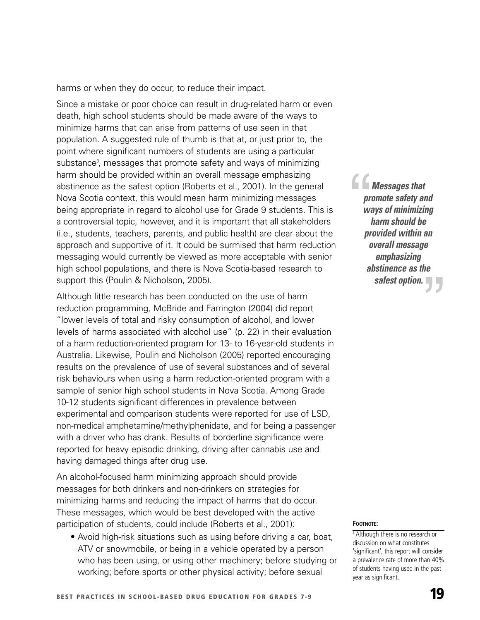harms or when they do occur, to reduce their impact.

Since a mistake or poor choice can result in drug-related harm or even death, high school students should be made aware of the ways to minimize harms that can arise from patterns of use seen in that population. A suggested rule of thumb is that at, or just prior to, the point where significant numbers of students are using a particular substance<sup>3</sup>, messages that promote safety and ways of minimizing harm should be provided within an overall message emphasizing abstinence as the safest option (Roberts et al., 2001). In the general Nova Scotia context, this would mean harm minimizing messages being appropriate in regard to alcohol use for Grade 9 students. This is a controversial topic, however, and it is important that all stakeholders (i.e., students, teachers, parents, and public health) are clear about the approach and supportive of it. It could be surmised that harm reduction messaging would currently be viewed as more acceptable with senior high school populations, and there is Nova Scotia-based research to support this (Poulin & Nicholson, 2005).

Although little research has been conducted on the use of harm reduction programming, McBride and Farrington (2004) did report "lower levels of total and risky consumption of alcohol, and lower levels of harms associated with alcohol use" (p. 22) in their evaluation of a harm reduction-oriented program for 13- to 16-year-old students in Australia. Likewise, Poulin and Nicholson (2005) reported encouraging results on the prevalence of use of several substances and of several risk behaviours when using a harm reduction-oriented program with a sample of senior high school students in Nova Scotia. Among Grade 10-12 students significant differences in prevalence between experimental and comparison students were reported for use of LSD, non-medical amphetamine/methylphenidate, and for being a passenger with a driver who has drank. Results of borderline significance were reported for heavy episodic drinking, driving after cannabis use and having damaged things after drug use.

An alcohol-focused harm minimizing approach should provide messages for both drinkers and non-drinkers on strategies for minimizing harms and reducing the impact of harms that do occur. These messages, which would be best developed with the active participation of students, could include (Roberts et al., 2001):

• Avoid high-risk situations such as using before driving a car, boat, ATV or snowmobile, or being in a vehicle operated by a person who has been using, or using other machinery; before studying or working; before sports or other physical activity; before sexual

**Messages that promote safety and ways of minimizing harm should be provided within an overall message emphasizing abstinence as the safest option.** " "

#### **FOOTNOTE:**

<sup>&</sup>lt;sup>3</sup> Although there is no research or discussion on what constitutes 'significant', this report will consider a prevalence rate of more than 40% of students having used in the past year as significant.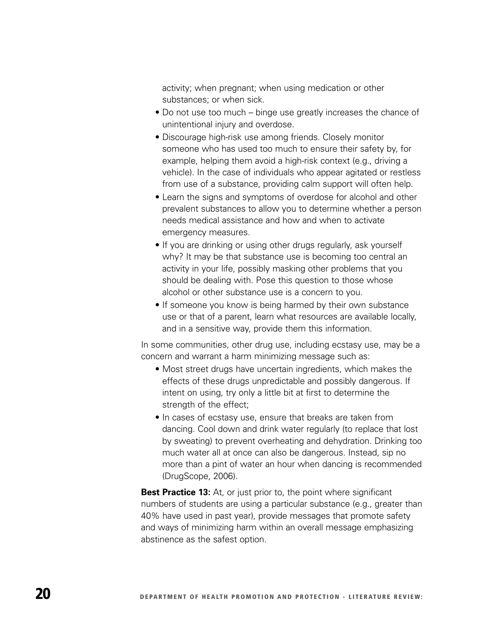activity; when pregnant; when using medication or other substances; or when sick.

- Do not use too much binge use greatly increases the chance of unintentional injury and overdose.
- Discourage high-risk use among friends. Closely monitor someone who has used too much to ensure their safety by, for example, helping them avoid a high-risk context (e.g., driving a vehicle). In the case of individuals who appear agitated or restless from use of a substance, providing calm support will often help.
- Learn the signs and symptoms of overdose for alcohol and other prevalent substances to allow you to determine whether a person needs medical assistance and how and when to activate emergency measures.
- If you are drinking or using other drugs regularly, ask yourself why? It may be that substance use is becoming too central an activity in your life, possibly masking other problems that you should be dealing with. Pose this question to those whose alcohol or other substance use is a concern to you.
- If someone you know is being harmed by their own substance use or that of a parent, learn what resources are available locally, and in a sensitive way, provide them this information.

In some communities, other drug use, including ecstasy use, may be a concern and warrant a harm minimizing message such as:

- Most street drugs have uncertain ingredients, which makes the effects of these drugs unpredictable and possibly dangerous. If intent on using, try only a little bit at first to determine the strength of the effect;
- In cases of ecstasy use, ensure that breaks are taken from dancing. Cool down and drink water regularly (to replace that lost by sweating) to prevent overheating and dehydration. Drinking too much water all at once can also be dangerous. Instead, sip no more than a pint of water an hour when dancing is recommended (DrugScope, 2006).

**Best Practice 13:** At, or just prior to, the point where significant numbers of students are using a particular substance (e.g., greater than 40% have used in past year), provide messages that promote safety and ways of minimizing harm within an overall message emphasizing abstinence as the safest option.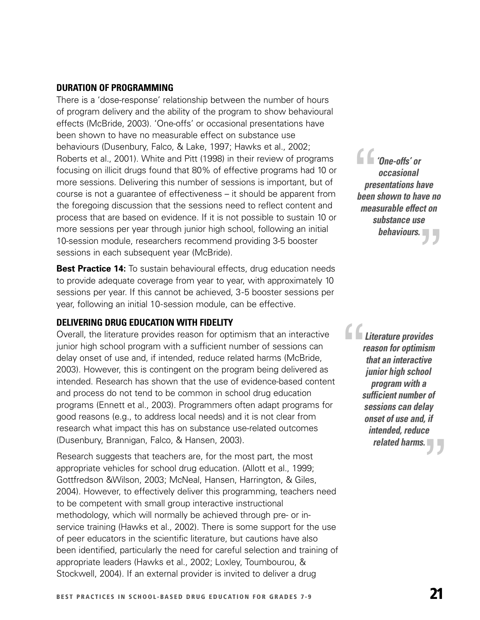#### <span id="page-25-0"></span>**DURATION OF PROGRAMMING**

There is a 'dose-response' relationship between the number of hours of program delivery and the ability of the program to show behavioural effects (McBride, 2003). 'One-offs' or occasional presentations have been shown to have no measurable effect on substance use behaviours (Dusenbury, Falco, & Lake, 1997; Hawks et al., 2002; Roberts et al., 2001). White and Pitt (1998) in their review of programs focusing on illicit drugs found that 80% of effective programs had 10 or more sessions. Delivering this number of sessions is important, but of course is not a guarantee of effectiveness – it should be apparent from the foregoing discussion that the sessions need to reflect content and process that are based on evidence. If it is not possible to sustain 10 or more sessions per year through junior high school, following an initial 10-session module, researchers recommend providing 3-5 booster sessions in each subsequent year (McBride).

**Best Practice 14:** To sustain behavioural effects, drug education needs to provide adequate coverage from year to year, with approximately 10 sessions per year. If this cannot be achieved, 3-5 booster sessions per year, following an initial 10-session module, can be effective.

#### **DELIVERING DRUG EDUCATION WITH FIDELITY**

Overall, the literature provides reason for optimism that an interactive junior high school program with a sufficient number of sessions can delay onset of use and, if intended, reduce related harms (McBride, 2003). However, this is contingent on the program being delivered as intended. Research has shown that the use of evidence-based content and process do not tend to be common in school drug education programs (Ennett et al., 2003). Programmers often adapt programs for good reasons (e.g., to address local needs) and it is not clear from research what impact this has on substance use-related outcomes (Dusenbury, Brannigan, Falco, & Hansen, 2003).

Research suggests that teachers are, for the most part, the most appropriate vehicles for school drug education. (Allott et al., 1999; Gottfredson &Wilson, 2003; McNeal, Hansen, Harrington, & Giles, 2004). However, to effectively deliver this programming, teachers need to be competent with small group interactive instructional methodology, which will normally be achieved through pre- or inservice training (Hawks et al., 2002). There is some support for the use of peer educators in the scientific literature, but cautions have also been identified, particularly the need for careful selection and training of appropriate leaders (Hawks et al., 2002; Loxley, Toumbourou, & Stockwell, 2004). If an external provider is invited to deliver a drug

**'One-offs' or occasional presentations have been shown to have no measurable effect on substance use behaviours.** "<br>
Free<br>
press<br>
press<br>
press<br>
press<br>
press<br>
press<br>
press<br>
press<br>
press<br>
press<br>
press<br>
press<br>
press<br>
press<br>
press<br>
press<br>
press<br>
press<br>
press<br>
press<br>
press<br><br><br><br><br><br><br><br><br><br><br><br><br><br><br><br><br><br><br><br><br><br><br><br><br> "<br>"<br>"

**Literature provides reason for optimism that an interactive junior high school program with a sufficient number of sessions can delay onset of use and, if intended, reduce related harms.** " ,<br>,<br>,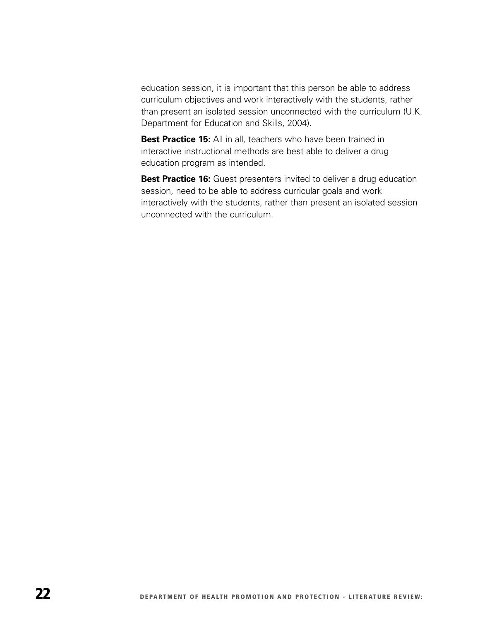education session, it is important that this person be able to address curriculum objectives and work interactively with the students, rather than present an isolated session unconnected with the curriculum (U.K. Department for Education and Skills, 2004).

**Best Practice 15:** All in all, teachers who have been trained in interactive instructional methods are best able to deliver a drug education program as intended.

**Best Practice 16:** Guest presenters invited to deliver a drug education session, need to be able to address curricular goals and work interactively with the students, rather than present an isolated session unconnected with the curriculum.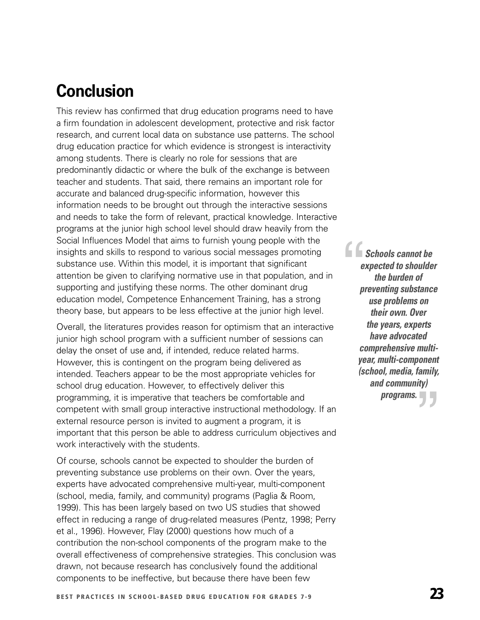### <span id="page-27-0"></span>**Conclusion**

This review has confirmed that drug education programs need to have a firm foundation in adolescent development, protective and risk factor research, and current local data on substance use patterns. The school drug education practice for which evidence is strongest is interactivity among students. There is clearly no role for sessions that are predominantly didactic or where the bulk of the exchange is between teacher and students. That said, there remains an important role for accurate and balanced drug-specific information, however this information needs to be brought out through the interactive sessions and needs to take the form of relevant, practical knowledge. Interactive programs at the junior high school level should draw heavily from the Social Influences Model that aims to furnish young people with the insights and skills to respond to various social messages promoting substance use. Within this model, it is important that significant attention be given to clarifying normative use in that population, and in supporting and justifying these norms. The other dominant drug education model, Competence Enhancement Training, has a strong theory base, but appears to be less effective at the junior high level.

Overall, the literatures provides reason for optimism that an interactive junior high school program with a sufficient number of sessions can delay the onset of use and, if intended, reduce related harms. However, this is contingent on the program being delivered as intended. Teachers appear to be the most appropriate vehicles for school drug education. However, to effectively deliver this programming, it is imperative that teachers be comfortable and competent with small group interactive instructional methodology. If an external resource person is invited to augment a program, it is important that this person be able to address curriculum objectives and work interactively with the students.

Of course, schools cannot be expected to shoulder the burden of preventing substance use problems on their own. Over the years, experts have advocated comprehensive multi-year, multi-component (school, media, family, and community) programs (Paglia & Room, 1999). This has been largely based on two US studies that showed effect in reducing a range of drug-related measures (Pentz, 1998; Perry et al., 1996). However, Flay (2000) questions how much of a contribution the non-school components of the program make to the overall effectiveness of comprehensive strategies. This conclusion was drawn, not because research has conclusively found the additional components to be ineffective, but because there have been few

**Schools cannot be expected to shoulder the burden of preventing substance use problems on their own. Over the years, experts have advocated comprehensive multiyear, multi-component (school, media, family, and community) programs.**  $\frac{1}{e}$ "<br>.<br>.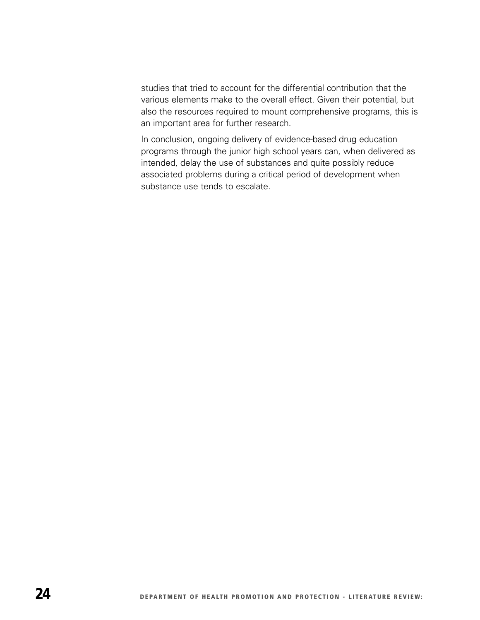studies that tried to account for the differential contribution that the various elements make to the overall effect. Given their potential, but also the resources required to mount comprehensive programs, this is an important area for further research.

In conclusion, ongoing delivery of evidence-based drug education programs through the junior high school years can, when delivered as intended, delay the use of substances and quite possibly reduce associated problems during a critical period of development when substance use tends to escalate.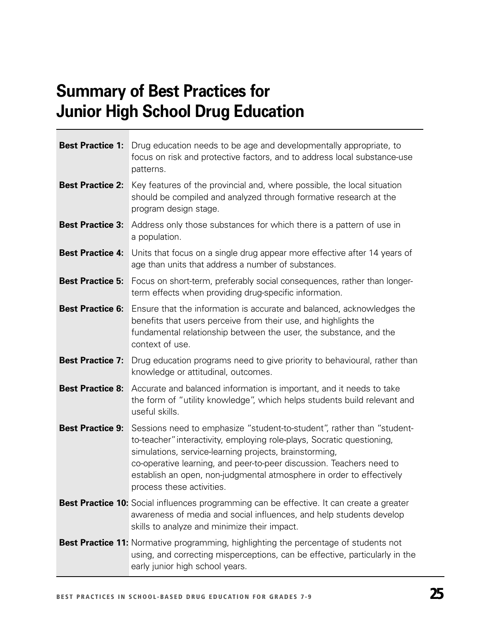### <span id="page-29-0"></span>**Summary of Best Practices for Junior High School Drug Education**

|                         | <b>Best Practice 1:</b> Drug education needs to be age and developmentally appropriate, to<br>focus on risk and protective factors, and to address local substance-use<br>patterns.                                                                                                                                                                                                     |
|-------------------------|-----------------------------------------------------------------------------------------------------------------------------------------------------------------------------------------------------------------------------------------------------------------------------------------------------------------------------------------------------------------------------------------|
| <b>Best Practice 2:</b> | Key features of the provincial and, where possible, the local situation<br>should be compiled and analyzed through formative research at the<br>program design stage.                                                                                                                                                                                                                   |
| <b>Best Practice 3:</b> | Address only those substances for which there is a pattern of use in<br>a population.                                                                                                                                                                                                                                                                                                   |
| <b>Best Practice 4:</b> | Units that focus on a single drug appear more effective after 14 years of<br>age than units that address a number of substances.                                                                                                                                                                                                                                                        |
| <b>Best Practice 5:</b> | Focus on short-term, preferably social consequences, rather than longer-<br>term effects when providing drug-specific information.                                                                                                                                                                                                                                                      |
| <b>Best Practice 6:</b> | Ensure that the information is accurate and balanced, acknowledges the<br>benefits that users perceive from their use, and highlights the<br>fundamental relationship between the user, the substance, and the<br>context of use.                                                                                                                                                       |
| <b>Best Practice 7:</b> | Drug education programs need to give priority to behavioural, rather than<br>knowledge or attitudinal, outcomes.                                                                                                                                                                                                                                                                        |
| <b>Best Practice 8:</b> | Accurate and balanced information is important, and it needs to take<br>the form of "utility knowledge", which helps students build relevant and<br>useful skills.                                                                                                                                                                                                                      |
| <b>Best Practice 9:</b> | Sessions need to emphasize "student-to-student", rather than "student-<br>to-teacher" interactivity, employing role-plays, Socratic questioning,<br>simulations, service-learning projects, brainstorming,<br>co-operative learning, and peer-to-peer discussion. Teachers need to<br>establish an open, non-judgmental atmosphere in order to effectively<br>process these activities. |
|                         | <b>Best Practice 10:</b> Social influences programming can be effective. It can create a greater<br>awareness of media and social influences, and help students develop<br>skills to analyze and minimize their impact.                                                                                                                                                                 |
|                         | <b>Best Practice 11:</b> Normative programming, highlighting the percentage of students not<br>using, and correcting misperceptions, can be effective, particularly in the<br>early junior high school years.                                                                                                                                                                           |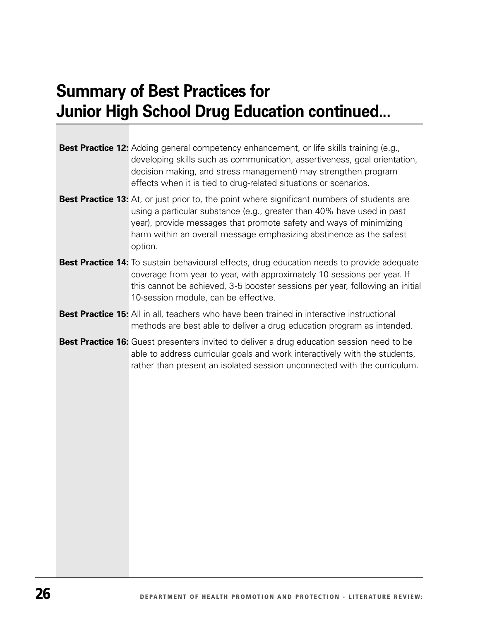### **Summary of Best Practices for Junior High School Drug Education continued...**

| <b>Best Practice 12:</b> Adding general competency enhancement, or life skills training (e.g.,<br>developing skills such as communication, assertiveness, goal orientation,<br>decision making, and stress management) may strengthen program<br>effects when it is tied to drug-related situations or scenarios.                    |
|--------------------------------------------------------------------------------------------------------------------------------------------------------------------------------------------------------------------------------------------------------------------------------------------------------------------------------------|
| <b>Best Practice 13:</b> At, or just prior to, the point where significant numbers of students are<br>using a particular substance (e.g., greater than 40% have used in past<br>year), provide messages that promote safety and ways of minimizing<br>harm within an overall message emphasizing abstinence as the safest<br>option. |
| <b>Best Practice 14:</b> To sustain behavioural effects, drug education needs to provide adequate<br>coverage from year to year, with approximately 10 sessions per year. If<br>this cannot be achieved, 3-5 booster sessions per year, following an initial<br>10-session module, can be effective.                                 |

- **Best Practice 15:** All in all, teachers who have been trained in interactive instructional methods are best able to deliver a drug education program as intended.
- **Best Practice 16:** Guest presenters invited to deliver a drug education session need to be able to address curricular goals and work interactively with the students, rather than present an isolated session unconnected with the curriculum.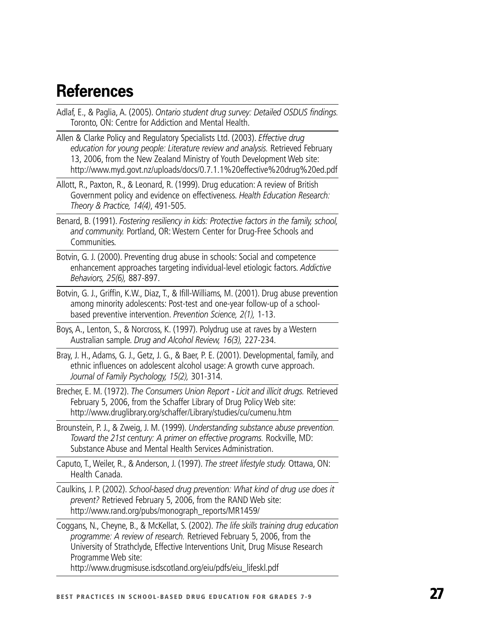### <span id="page-31-0"></span>**References**

Adlaf, E., & Paglia, A. (2005). *Ontario student drug survey: Detailed OSDUS findings.* Toronto, ON: Centre for Addiction and Mental Health.

- Allen & Clarke Policy and Regulatory Specialists Ltd. (2003). *Effective drug education for young people: Literature review and analysis.* Retrieved February 13, 2006, from the New Zealand Ministry of Youth Development Web site: http://www.myd.govt.nz/uploads/docs/0.7.1.1%20effective%20drug%20ed.pdf
- Allott, R., Paxton, R., & Leonard, R. (1999). Drug education: A review of British Government policy and evidence on effectiveness. *Health Education Research: Theory & Practice, 14(4)*, 491-505.
- Benard, B. (1991). *Fostering resiliency in kids: Protective factors in the family, school, and community.* Portland, OR: Western Center for Drug-Free Schools and Communities.
- Botvin, G. J. (2000). Preventing drug abuse in schools: Social and competence enhancement approaches targeting individual-level etiologic factors. *Addictive Behaviors, 25(6),* 887-897.
- Botvin, G. J., Griffin, K.W., Diaz, T., & Ifill-Williams, M. (2001). Drug abuse prevention among minority adolescents: Post-test and one-year follow-up of a schoolbased preventive intervention. *Prevention Science, 2(1),* 1-13.
- Boys, A., Lenton, S., & Norcross, K. (1997). Polydrug use at raves by a Western Australian sample. *Drug and Alcohol Review, 16(3),* 227-234.
- Bray, J. H., Adams, G. J., Getz, J. G., & Baer, P. E. (2001). Developmental, family, and ethnic influences on adolescent alcohol usage: A growth curve approach. *Journal of Family Psychology, 15(2),* 301-314.
- Brecher, E. M. (1972). *The Consumers Union Report Licit and illicit drugs.* Retrieved February 5, 2006, from the Schaffer Library of Drug Policy Web site: http://www.druglibrary.org/schaffer/Library/studies/cu/cumenu.htm
- Brounstein, P. J., & Zweig, J. M. (1999). *Understanding substance abuse prevention. Toward the 21st century: A primer on effective programs.* Rockville, MD: Substance Abuse and Mental Health Services Administration.
- Caputo, T., Weiler, R., & Anderson, J. (1997). *The street lifestyle study.* Ottawa, ON: Health Canada.
- Caulkins, J. P. (2002). *School-based drug prevention: What kind of drug use does it prevent?* Retrieved February 5, 2006, from the RAND Web site: http://www.rand.org/pubs/monograph\_reports/MR1459/
- Coggans, N., Cheyne, B., & McKellat, S. (2002). *The life skills training drug education programme: A review of research.* Retrieved February 5, 2006, from the University of Strathclyde, Effective Interventions Unit, Drug Misuse Research Programme Web site: http://www.drugmisuse.isdscotland.org/eiu/pdfs/eiu\_lifeskl.pdf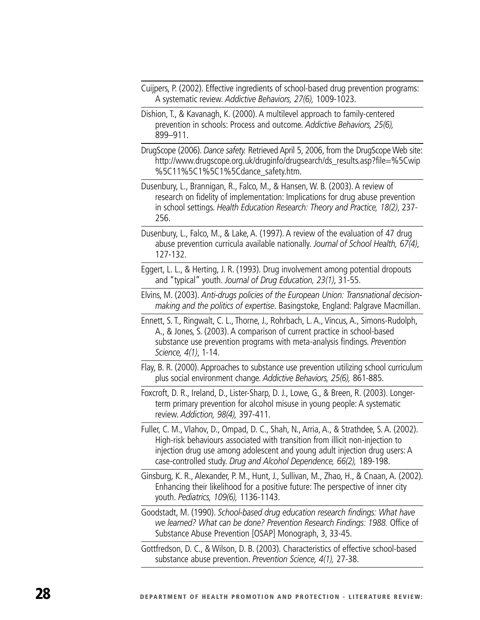- Cuijpers, P. (2002). Effective ingredients of school-based drug prevention programs: A systematic review. *Addictive Behaviors, 27(6),* 1009-1023.
- Dishion, T., & Kavanagh, K. (2000). A multilevel approach to family-centered prevention in schools: Process and outcome. *Addictive Behaviors, 25(6),* 899–911.
- DrugScope (2006). *Dance safety.* Retrieved April 5, 2006, from the DrugScope Web site: http://www.drugscope.org.uk/druginfo/drugsearch/ds\_results.asp?file=%5Cwip %5C11%5C1%5C1%5Cdance\_safety.htm.
- Dusenbury, L., Brannigan, R., Falco, M., & Hansen, W. B. (2003). A review of research on fidelity of implementation: Implications for drug abuse prevention in school settings. *Health Education Research: Theory and Practice, 18(2)*, 237- 256.
- Dusenbury, L., Falco, M., & Lake, A. (1997). A review of the evaluation of 47 drug abuse prevention curricula available nationally. *Journal of School Health, 67(4)*, 127-132.
- Eggert, L. L., & Herting, J. R. (1993). Drug involvement among potential dropouts and "typical" youth. *Journal of Drug Education, 23(1)*, 31-55.
- Elvins, M. (2003). *Anti-drugs policies of the European Union: Transnational decisionmaking and the politics of expertise*. Basingstoke, England: Palgrave Macmillan.
- Ennett, S. T., Ringwalt, C. L., Thorne, J., Rohrbach, L. A., Vincus, A., Simons-Rudolph, A., & Jones, S. (2003). A comparison of current practice in school-based substance use prevention programs with meta-analysis findings. *Prevention Science, 4(1)*, 1-14.
- Flay, B. R. (2000). Approaches to substance use prevention utilizing school curriculum plus social environment change. *Addictive Behaviors, 25(6),* 861-885.
- Foxcroft, D. R., Ireland, D., Lister-Sharp, D. J., Lowe, G., & Breen, R. (2003). Longerterm primary prevention for alcohol misuse in young people: A systematic review. *Addiction, 98(4),* 397-411.
- Fuller, C. M., Vlahov, D., Ompad, D. C., Shah, N., Arria, A., & Strathdee, S. A. (2002). High-risk behaviours associated with transition from illicit non-injection to injection drug use among adolescent and young adult injection drug users: A case-controlled study. *Drug and Alcohol Dependence, 66(2),* 189-198.
- Ginsburg, K. R., Alexander, P. M., Hunt, J., Sullivan, M., Zhao, H., & Cnaan, A. (2002). Enhancing their likelihood for a positive future: The perspective of inner city youth. *Pediatrics, 109(6),* 1136-1143.
- Goodstadt, M. (1990). *School-based drug education research findings: What have we learned? What can be done? Prevention Research Findings: 1988.* Office of Substance Abuse Prevention [OSAP] Monograph, 3, 33-45.
- Gottfredson, D. C., & Wilson, D. B. (2003). Characteristics of effective school-based substance abuse prevention. *Prevention Science, 4(1),* 27-38.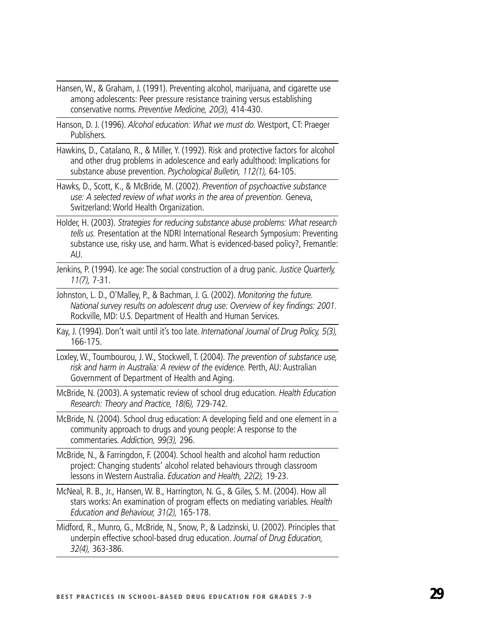- Hansen, W., & Graham, J. (1991). Preventing alcohol, marijuana, and cigarette use among adolescents: Peer pressure resistance training versus establishing conservative norms. *Preventive Medicine, 20(3),* 414-430.
- Hanson, D. J. (1996). *Alcohol education: What we must do.* Westport, CT: Praeger Publishers.
- Hawkins, D., Catalano, R., & Miller, Y. (1992). Risk and protective factors for alcohol and other drug problems in adolescence and early adulthood: Implications for substance abuse prevention. *Psychological Bulletin, 112(1),* 64-105.
- Hawks, D., Scott, K., & McBride, M. (2002). *Prevention of psychoactive substance use: A selected review of what works in the area of prevention.* Geneva, Switzerland: World Health Organization.
- Holder, H. (2003). *Strategies for reducing substance abuse problems: What research tells us.* Presentation at the NDRI International Research Symposium: Preventing substance use, risky use, and harm. What is evidenced-based policy?, Fremantle: AU.
- Jenkins, P. (1994). Ice age: The social construction of a drug panic. *Justice Quarterly, 11(7),* 7-31.
- Johnston, L. D., O'Malley, P., & Bachman, J. G. (2002). *Monitoring the future. National survey results on adolescent drug use: Overview of key findings: 2001.* Rockville, MD: U.S. Department of Health and Human Services.
- Kay, J. (1994). Don't wait until it's too late. *International Journal of Drug Policy, 5(3),* 166-175.
- Loxley, W., Toumbourou, J. W., Stockwell, T. (2004). *The prevention of substance use, risk and harm in Australia: A review of the evidence.* Perth, AU: Australian Government of Department of Health and Aging.
- McBride, N. (2003). A systematic review of school drug education. *Health Education Research: Theory and Practice, 18(6),* 729-742.
- McBride, N. (2004). School drug education: A developing field and one element in a community approach to drugs and young people: A response to the commentaries. *Addiction, 99(3),* 296.
- McBride, N., & Farringdon, F. (2004). School health and alcohol harm reduction project: Changing students' alcohol related behaviours through classroom lessons in Western Australia. *Education and Health, 22(2),* 19-23.
- McNeal, R. B., Jr., Hansen, W. B., Harrington, N. G., & Giles, S. M. (2004). How all stars works: An examination of program effects on mediating variables. *Health Education and Behaviour, 31(2),* 165-178.
- Midford, R., Munro, G., McBride, N., Snow, P., & Ladzinski, U. (2002). Principles that underpin effective school-based drug education. *Journal of Drug Education, 32(4),* 363-386.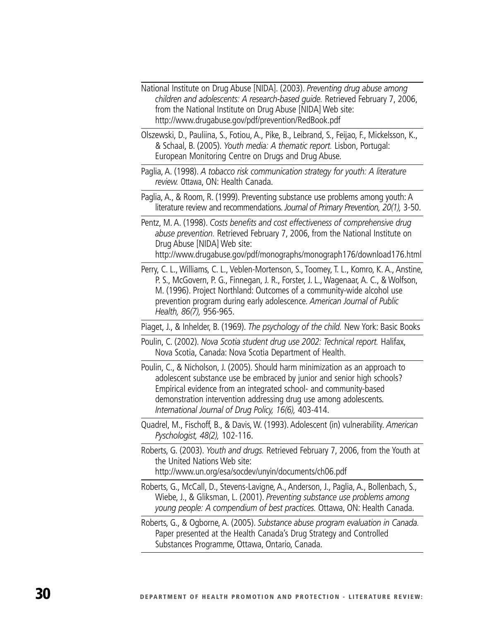- National Institute on Drug Abuse [NIDA]. (2003). *Preventing drug abuse among children and adolescents: A research-based guide.* Retrieved February 7, 2006, from the National Institute on Drug Abuse [NIDA] Web site: http://www.drugabuse.gov/pdf/prevention/RedBook.pdf
- Olszewski, D., Pauliina, S., Fotiou, A., Pike, B., Leibrand, S., Feijao, F., Mickelsson, K., & Schaal, B. (2005). *Youth media: A thematic report.* Lisbon, Portugal: European Monitoring Centre on Drugs and Drug Abuse.
- Paglia, A. (1998). *A tobacco risk communication strategy for youth: A literature review.* Ottawa, ON: Health Canada.
- Paglia, A., & Room, R. (1999). Preventing substance use problems among youth: A literature review and recommendations. *Journal of Primary Prevention, 20(1),* 3-50.
- Pentz, M. A. (1998). *Costs benefits and cost effectiveness of comprehensive drug abuse prevention.* Retrieved February 7, 2006, from the National Institute on Drug Abuse [NIDA] Web site:

http://www.drugabuse.gov/pdf/monographs/monograph176/download176.html

Perry, C. L., Williams, C. L., Veblen-Mortenson, S., Toomey, T. L., Komro, K. A., Anstine, P. S., McGovern, P. G., Finnegan, J. R., Forster, J. L., Wagenaar, A. C., & Wolfson, M. (1996). Project Northland: Outcomes of a community-wide alcohol use prevention program during early adolescence. *American Journal of Public Health, 86(7),* 956-965.

Piaget, J., & Inhelder, B. (1969). *The psychology of the child.* New York: Basic Books

- Poulin, C. (2002). *Nova Scotia student drug use 2002: Technical report.* Halifax, Nova Scotia, Canada: Nova Scotia Department of Health.
- Poulin, C., & Nicholson, J. (2005). Should harm minimization as an approach to adolescent substance use be embraced by junior and senior high schools? Empirical evidence from an integrated school- and community-based demonstration intervention addressing drug use among adolescents. *International Journal of Drug Policy, 16(6),* 403-414.
- Quadrel, M., Fischoff, B., & Davis, W. (1993). Adolescent (in) vulnerability. *American Pyschologist, 48(2),* 102-116.
- Roberts, G. (2003). *Youth and drugs.* Retrieved February 7, 2006, from the Youth at the United Nations Web site: http://www.un.org/esa/socdev/unyin/documents/ch06.pdf
- Roberts, G., McCall, D., Stevens-Lavigne, A., Anderson, J., Paglia, A., Bollenbach, S., Wiebe, J., & Gliksman, L. (2001). *Preventing substance use problems among young people: A compendium of best practices.* Ottawa, ON: Health Canada.
- Roberts, G., & Ogborne, A. (2005). *Substance abuse program evaluation in Canada.* Paper presented at the Health Canada's Drug Strategy and Controlled Substances Programme, Ottawa, Ontario, Canada.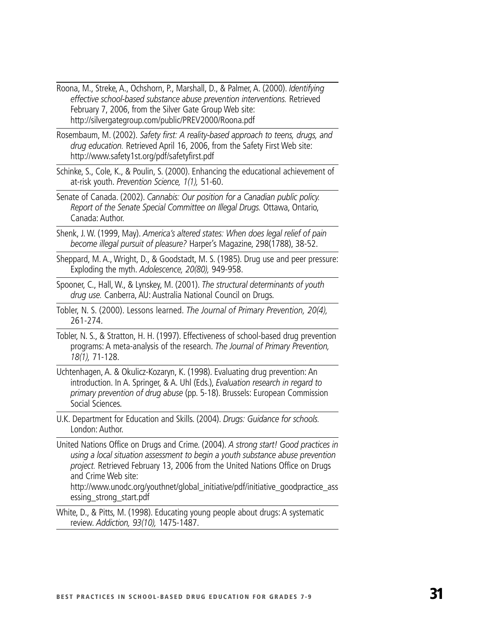- Roona, M., Streke, A., Ochshorn, P., Marshall, D., & Palmer, A. (2000). *Identifying effective school-based substance abuse prevention interventions.* Retrieved February 7, 2006, from the Silver Gate Group Web site: http://silvergategroup.com/public/PREV2000/Roona.pdf
- Rosembaum, M. (2002). *Safety first: A reality-based approach to teens, drugs, and drug education.* Retrieved April 16, 2006, from the Safety First Web site: http://www.safety1st.org/pdf/safetyfirst.pdf
- Schinke, S., Cole, K., & Poulin, S. (2000). Enhancing the educational achievement of at-risk youth. *Prevention Science, 1(1),* 51-60.
- Senate of Canada. (2002). *Cannabis: Our position for a Canadian public policy. Report of the Senate Special Committee on Illegal Drugs.* Ottawa, Ontario, Canada: Author.
- Shenk, J. W. (1999, May). *America's altered states: When does legal relief of pain become illegal pursuit of pleasure?* Harper's Magazine, 298(1788), 38-52.
- Sheppard, M. A., Wright, D., & Goodstadt, M. S. (1985). Drug use and peer pressure: Exploding the myth. *Adolescence, 20(80),* 949-958.
- Spooner, C., Hall, W., & Lynskey, M. (2001). *The structural determinants of youth drug use.* Canberra, AU: Australia National Council on Drugs.
- Tobler, N. S. (2000). Lessons learned. *The Journal of Primary Prevention, 20(4),* 261-274.
- Tobler, N. S., & Stratton, H. H. (1997). Effectiveness of school-based drug prevention programs: A meta-analysis of the research. *The Journal of Primary Prevention, 18(1),* 71-128.
- Uchtenhagen, A. & Okulicz-Kozaryn, K. (1998). Evaluating drug prevention: An introduction. In A. Springer, & A. Uhl (Eds.), *Evaluation research in regard to primary prevention of drug abuse* (pp. 5-18). Brussels: European Commission Social Sciences.
- U.K. Department for Education and Skills. (2004). *Drugs: Guidance for schools.* London: Author.
- United Nations Office on Drugs and Crime. (2004). *A strong start! Good practices in using a local situation assessment to begin a youth substance abuse prevention project.* Retrieved February 13, 2006 from the United Nations Office on Drugs and Crime Web site:

http://www.unodc.org/youthnet/global\_initiative/pdf/initiative\_goodpractice\_ass essing\_strong\_start.pdf

White, D., & Pitts, M. (1998). Educating young people about drugs: A systematic review. *Addiction, 93(10),* 1475-1487.